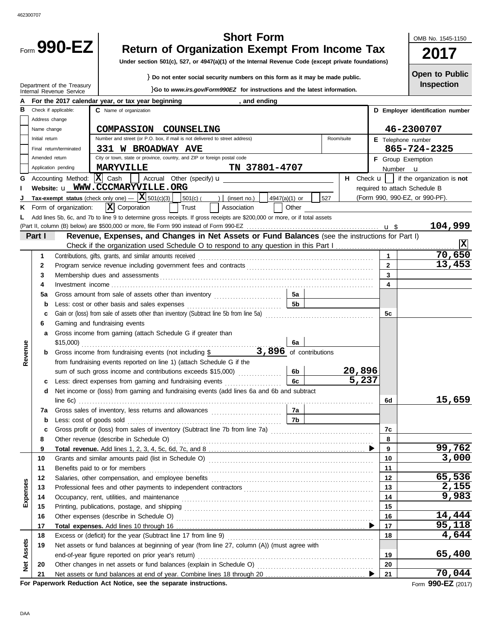|            |                |                                                                                               |                               |                                                                                                                                                     |                                                                          | <b>Short Form</b>                                                                                                           |                        |            |     |                 |                    |  | OMB No. 1545-1150                                               |
|------------|----------------|-----------------------------------------------------------------------------------------------|-------------------------------|-----------------------------------------------------------------------------------------------------------------------------------------------------|--------------------------------------------------------------------------|-----------------------------------------------------------------------------------------------------------------------------|------------------------|------------|-----|-----------------|--------------------|--|-----------------------------------------------------------------|
|            |                | Form 990-EZ                                                                                   |                               | Return of Organization Exempt From Income Tax<br>Under section 501(c), 527, or 4947(a)(1) of the Internal Revenue Code (except private foundations) |                                                                          |                                                                                                                             |                        |            |     |                 |                    |  | 2017                                                            |
|            |                |                                                                                               |                               |                                                                                                                                                     |                                                                          |                                                                                                                             |                        |            |     |                 |                    |  |                                                                 |
|            |                |                                                                                               |                               |                                                                                                                                                     |                                                                          | } Do not enter social security numbers on this form as it may be made public.                                               |                        |            |     |                 |                    |  | <b>Open to Public</b>                                           |
|            |                | Department of the Treasury<br>Internal Revenue Service                                        |                               |                                                                                                                                                     |                                                                          | <b>}Go to</b> www.irs.gov/Form990EZ for instructions and the latest information.                                            |                        |            |     |                 |                    |  | <b>Inspection</b>                                               |
|            |                | For the 2017 calendar year, or tax year beginning                                             |                               |                                                                                                                                                     |                                                                          | , and ending                                                                                                                |                        |            |     |                 |                    |  |                                                                 |
|            |                | Check if applicable:                                                                          | C Name of organization        |                                                                                                                                                     |                                                                          |                                                                                                                             |                        |            |     |                 |                    |  | D Employer identification number                                |
|            | Address change |                                                                                               |                               |                                                                                                                                                     |                                                                          |                                                                                                                             |                        |            |     |                 |                    |  |                                                                 |
|            | Name change    |                                                                                               |                               |                                                                                                                                                     | COMPASSION COUNSELING                                                    |                                                                                                                             |                        |            |     |                 |                    |  | 46-2300707                                                      |
|            | Initial return |                                                                                               |                               |                                                                                                                                                     |                                                                          | Number and street (or P.O. box, if mail is not delivered to street address)                                                 |                        |            |     | Room/suite      | E Telephone number |  |                                                                 |
|            |                | Final return/terminated                                                                       |                               | 331 W BROADWAY AVE                                                                                                                                  |                                                                          |                                                                                                                             |                        |            |     |                 |                    |  | 865-724-2325                                                    |
|            | Amended return |                                                                                               |                               |                                                                                                                                                     | City or town, state or province, country, and ZIP or foreign postal code |                                                                                                                             |                        |            |     |                 | F Group Exemption  |  |                                                                 |
|            |                | Application pending                                                                           | <b>MARYVILLE</b>              |                                                                                                                                                     |                                                                          | TN 37801-4707                                                                                                               |                        |            |     |                 | Number <b>u</b>    |  |                                                                 |
| G          |                | Accounting Method: $ \mathbf{X} $ Cash     Accrual Other (specify) <b>u</b>                   |                               |                                                                                                                                                     |                                                                          |                                                                                                                             |                        |            |     |                 |                    |  | <b>H</b> Check $\mathbf{u}$   if the organization is <b>not</b> |
|            |                | Website: u WWW.CCCMARYVILLE.ORG<br>Tax-exempt status (check only one) $ \mathbf{X}$ 501(c)(3) |                               |                                                                                                                                                     |                                                                          |                                                                                                                             |                        |            |     |                 |                    |  | required to attach Schedule B                                   |
|            |                |                                                                                               | $ \mathbf{X} $ Corporation    |                                                                                                                                                     | $501(c)$ (<br>Trust                                                      | ) $ $ (insert no.)<br>Association                                                                                           | 4947(a)(1) or          | Other      | 527 |                 |                    |  | (Form 990, 990-EZ, or 990-PF).                                  |
| κ          |                | Form of organization:                                                                         |                               |                                                                                                                                                     |                                                                          | Add lines 5b, 6c, and 7b to line 9 to determine gross receipts. If gross receipts are \$200,000 or more, or if total assets |                        |            |     |                 |                    |  |                                                                 |
|            |                |                                                                                               |                               |                                                                                                                                                     |                                                                          |                                                                                                                             |                        |            |     |                 |                    |  | 104,999                                                         |
|            | Part I         |                                                                                               |                               |                                                                                                                                                     |                                                                          | Revenue, Expenses, and Changes in Net Assets or Fund Balances (see the instructions for Part I)                             |                        |            |     |                 |                    |  |                                                                 |
|            |                |                                                                                               |                               |                                                                                                                                                     |                                                                          |                                                                                                                             |                        |            |     |                 |                    |  | $ \mathbf{x} $                                                  |
|            | 1              | Contributions, gifts, grants, and similar amounts received                                    |                               |                                                                                                                                                     |                                                                          |                                                                                                                             |                        |            |     |                 | 1                  |  | 70,650                                                          |
|            | 2              |                                                                                               |                               |                                                                                                                                                     |                                                                          |                                                                                                                             |                        |            |     |                 | $\overline{2}$     |  | 13,453                                                          |
|            | 3              |                                                                                               |                               |                                                                                                                                                     |                                                                          | Membership dues and assessments <b>contained a container and assessments</b> and assessments <b>container and a</b>         |                        |            |     |                 | 3                  |  |                                                                 |
|            | 4              |                                                                                               |                               |                                                                                                                                                     |                                                                          |                                                                                                                             |                        |            |     |                 | 4                  |  |                                                                 |
|            | 5a             |                                                                                               |                               |                                                                                                                                                     |                                                                          |                                                                                                                             |                        | 5а         |     |                 |                    |  |                                                                 |
|            | b              |                                                                                               |                               |                                                                                                                                                     |                                                                          |                                                                                                                             |                        | 5 <b>b</b> |     |                 |                    |  |                                                                 |
|            | c              |                                                                                               |                               |                                                                                                                                                     |                                                                          | Gain or (loss) from sale of assets other than inventory (Subtract line 5b from line 5a) [[[[[[[[[[[[[[[[[[[[[               |                        |            |     |                 | 5с                 |  |                                                                 |
|            | 6              |                                                                                               | Gaming and fundraising events |                                                                                                                                                     |                                                                          |                                                                                                                             |                        |            |     |                 |                    |  |                                                                 |
|            | а              |                                                                                               |                               |                                                                                                                                                     | Gross income from gaming (attach Schedule G if greater than              |                                                                                                                             |                        |            |     |                 |                    |  |                                                                 |
|            |                | \$15,000)                                                                                     |                               |                                                                                                                                                     |                                                                          |                                                                                                                             |                        | 6a         |     |                 |                    |  |                                                                 |
| Revenue    | b              |                                                                                               |                               |                                                                                                                                                     | Gross income from fundraising events (not including \$                   |                                                                                                                             | 3,896 of contributions |            |     |                 |                    |  |                                                                 |
|            |                |                                                                                               |                               |                                                                                                                                                     | from fundraising events reported on line 1) (attach Schedule G if the    |                                                                                                                             |                        |            |     |                 |                    |  |                                                                 |
|            |                |                                                                                               |                               |                                                                                                                                                     |                                                                          | sum of such gross income and contributions exceeds \$15,000)                                                                |                        | 6b         |     | 20,896<br>5,237 |                    |  |                                                                 |
|            |                |                                                                                               |                               |                                                                                                                                                     |                                                                          | Less: direct expenses from gaming and fundraising events                                                                    |                        | 6c         |     |                 |                    |  |                                                                 |
|            |                |                                                                                               |                               |                                                                                                                                                     |                                                                          | Net income or (loss) from gaming and fundraising events (add lines 6a and 6b and subtract                                   |                        |            |     |                 |                    |  | 15,659                                                          |
|            | 7a             | line 6c)                                                                                      |                               |                                                                                                                                                     |                                                                          |                                                                                                                             |                        | 7а         |     |                 | 6d                 |  |                                                                 |
|            | b              | Less: cost of goods sold                                                                      |                               |                                                                                                                                                     |                                                                          |                                                                                                                             |                        | 7b         |     |                 |                    |  |                                                                 |
|            | c              |                                                                                               |                               |                                                                                                                                                     |                                                                          |                                                                                                                             |                        |            |     |                 | 7с                 |  |                                                                 |
|            | 8              | Other revenue (describe in Schedule O)                                                        |                               |                                                                                                                                                     |                                                                          |                                                                                                                             |                        |            |     |                 | 8                  |  |                                                                 |
|            | 9              |                                                                                               |                               |                                                                                                                                                     |                                                                          |                                                                                                                             |                        |            |     |                 | 9                  |  | 99,762                                                          |
|            | 10             |                                                                                               |                               |                                                                                                                                                     |                                                                          |                                                                                                                             |                        |            |     |                 | 10                 |  | 3,000                                                           |
|            | 11             | Benefits paid to or for members                                                               |                               |                                                                                                                                                     |                                                                          |                                                                                                                             |                        |            |     |                 | 11                 |  |                                                                 |
|            | 12             |                                                                                               |                               |                                                                                                                                                     | Salaries, other compensation, and employee benefits                      |                                                                                                                             |                        |            |     |                 | 12                 |  | 65,536                                                          |
| Expenses   | 13             |                                                                                               |                               |                                                                                                                                                     |                                                                          |                                                                                                                             |                        |            |     |                 | 13                 |  | 2,155                                                           |
|            | 14             |                                                                                               |                               |                                                                                                                                                     |                                                                          |                                                                                                                             |                        |            |     |                 | 14                 |  | 9,983                                                           |
|            | 15             |                                                                                               |                               |                                                                                                                                                     |                                                                          |                                                                                                                             |                        |            |     |                 | 15                 |  |                                                                 |
|            | 16             |                                                                                               |                               |                                                                                                                                                     |                                                                          |                                                                                                                             |                        |            |     |                 | 16                 |  | 14,444                                                          |
|            | 17             |                                                                                               |                               |                                                                                                                                                     |                                                                          |                                                                                                                             |                        |            |     |                 | 17                 |  | 95,118                                                          |
|            | 18             |                                                                                               |                               |                                                                                                                                                     | Excess or (deficit) for the year (Subtract line 17 from line 9)          |                                                                                                                             |                        |            |     |                 | 18                 |  | 4,644                                                           |
| Assets     | 19             |                                                                                               |                               |                                                                                                                                                     |                                                                          | Net assets or fund balances at beginning of year (from line 27, column (A)) (must agree with                                |                        |            |     |                 |                    |  |                                                                 |
|            |                | end-of-year figure reported on prior year's return)                                           |                               |                                                                                                                                                     |                                                                          |                                                                                                                             |                        |            |     |                 | 19                 |  | 65,400                                                          |
| <b>Med</b> | 20             |                                                                                               |                               |                                                                                                                                                     |                                                                          |                                                                                                                             |                        |            |     |                 | 20                 |  | 70,044                                                          |
|            | 21             | For Paperwork Reduction Act Notice, see the separate instructions.                            |                               |                                                                                                                                                     |                                                                          |                                                                                                                             |                        |            |     |                 | 21                 |  | $F_{\text{orm}}$ QQO_F7 (2017)                                  |

**For Paperwork Reduction Act Notice, see the separate instructions.**

Form **990-EZ** (2017)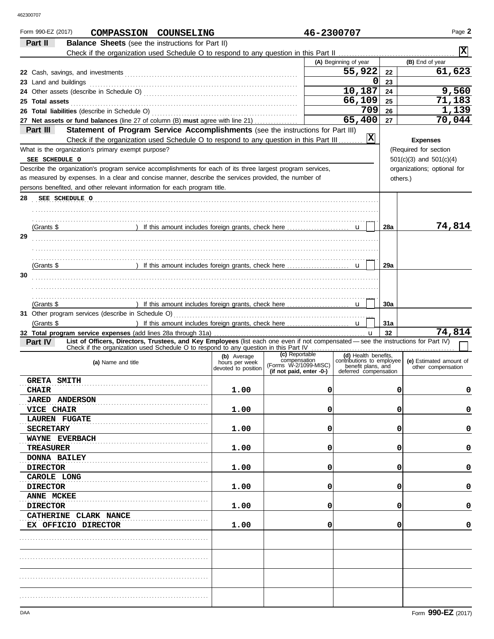| Form 990-EZ (2017)<br>COMPASSION COUNSELING                                                                                                    |                     | 46-2300707                            |                                                 |            | Page 2                      |
|------------------------------------------------------------------------------------------------------------------------------------------------|---------------------|---------------------------------------|-------------------------------------------------|------------|-----------------------------|
| Part II<br><b>Balance Sheets</b> (see the instructions for Part II)                                                                            |                     |                                       |                                                 |            |                             |
|                                                                                                                                                |                     |                                       |                                                 |            | $ \mathbf{x} $              |
|                                                                                                                                                |                     |                                       | (A) Beginning of year                           |            | (B) End of year             |
|                                                                                                                                                |                     |                                       | 55,922                                          | 22         | 61,623                      |
| 23 Land and buildings <i>communically contained and buildings</i>                                                                              |                     |                                       | 0                                               | 23         |                             |
|                                                                                                                                                |                     |                                       | 10,187                                          | 24         | 9,560                       |
|                                                                                                                                                |                     |                                       | 66,109                                          | 25         | 71,183                      |
| 25 Total assets <b>25 Total</b> assets <b>25 Total assets</b>                                                                                  |                     |                                       | 709                                             | 26         | 1,139                       |
| 27 Net assets or fund balances (line 27 of column (B) must agree with line 21)                                                                 |                     |                                       | 65,400                                          | 27         | 70,044                      |
| Statement of Program Service Accomplishments (see the instructions for Part III)<br>Part III                                                   |                     |                                       |                                                 |            |                             |
| Check if the organization used Schedule O to respond to any question in this Part III                                                          |                     |                                       | $ \mathbf{x} $                                  |            | <b>Expenses</b>             |
| What is the organization's primary exempt purpose?                                                                                             |                     |                                       |                                                 |            | (Required for section       |
| SEE SCHEDULE O                                                                                                                                 |                     |                                       |                                                 |            | $501(c)(3)$ and $501(c)(4)$ |
| Describe the organization's program service accomplishments for each of its three largest program services,                                    |                     |                                       |                                                 |            | organizations; optional for |
| as measured by expenses. In a clear and concise manner, describe the services provided, the number of                                          |                     |                                       |                                                 |            |                             |
| persons benefited, and other relevant information for each program title.                                                                      |                     |                                       |                                                 | others.)   |                             |
|                                                                                                                                                |                     |                                       |                                                 |            |                             |
| SEE SCHEDULE O<br>28                                                                                                                           |                     |                                       |                                                 |            |                             |
|                                                                                                                                                |                     |                                       |                                                 |            |                             |
|                                                                                                                                                |                     |                                       |                                                 |            |                             |
| (Grants \$                                                                                                                                     |                     |                                       |                                                 | <b>28a</b> | 74,814                      |
| 29                                                                                                                                             |                     |                                       |                                                 |            |                             |
|                                                                                                                                                |                     |                                       |                                                 |            |                             |
|                                                                                                                                                |                     |                                       |                                                 |            |                             |
| (Grants \$                                                                                                                                     |                     |                                       |                                                 | 29a        |                             |
| 30                                                                                                                                             |                     |                                       |                                                 |            |                             |
|                                                                                                                                                |                     |                                       |                                                 |            |                             |
|                                                                                                                                                |                     |                                       |                                                 |            |                             |
| (Grants \$                                                                                                                                     |                     |                                       |                                                 | 30a        |                             |
|                                                                                                                                                |                     |                                       |                                                 |            |                             |
| (Grants \$                                                                                                                                     |                     |                                       |                                                 | 31a        |                             |
|                                                                                                                                                |                     |                                       |                                                 | 32         | 74,814                      |
| List of Officers, Directors, Trustees, and Key Employees (list each one even if not compensated - see the instructions for Part IV)<br>Part IV |                     |                                       |                                                 |            |                             |
|                                                                                                                                                | (b) Average         | (c) Reportable                        | (d) Health benefits.                            |            |                             |
| (a) Name and title                                                                                                                             | hours per week      | compensation<br>(Forms W-2/1099-MISC) | contributions to employee<br>benefit plans, and |            | (e) Estimated amount of     |
|                                                                                                                                                | devoted to position | (if not paid, enter -0-)              | deferred compensation                           |            | other compensation          |
| <b>GRETA SMITH</b>                                                                                                                             |                     |                                       |                                                 |            |                             |
| <b>CHAIR</b>                                                                                                                                   | 1.00                | 0                                     |                                                 | 0          | 0                           |
| <b>JARED ANDERSON</b>                                                                                                                          |                     |                                       |                                                 |            |                             |
| <b>VICE CHAIR</b>                                                                                                                              | 1.00                | 0                                     |                                                 | 0          | 0                           |
| <b>LAUREN FUGATE</b>                                                                                                                           |                     |                                       |                                                 |            |                             |
| <b>SECRETARY</b>                                                                                                                               | 1.00                | 0                                     |                                                 | 0          | 0                           |
| WAYNE EVERBACH                                                                                                                                 |                     |                                       |                                                 |            |                             |
| TREASURER                                                                                                                                      | 1.00                | 0                                     |                                                 | 0          | 0                           |
| <b>DONNA BAILEY</b>                                                                                                                            |                     |                                       |                                                 |            |                             |
| <b>DIRECTOR</b>                                                                                                                                | 1.00                | 0                                     |                                                 | 0          | 0                           |
| CAROLE LONG                                                                                                                                    |                     |                                       |                                                 |            |                             |
| <b>DIRECTOR</b>                                                                                                                                | 1.00                | 0                                     |                                                 | 0          | 0                           |
| <b>ANNE MCKEE</b>                                                                                                                              |                     |                                       |                                                 |            |                             |
| <b>DIRECTOR</b>                                                                                                                                | 1.00                | 0                                     |                                                 | 0          | 0                           |
| CATHERINE CLARK NANCE                                                                                                                          |                     |                                       |                                                 |            |                             |
| EX OFFICIO DIRECTOR                                                                                                                            | 1.00                | 0                                     |                                                 | 0          | 0                           |
|                                                                                                                                                |                     |                                       |                                                 |            |                             |
|                                                                                                                                                |                     |                                       |                                                 |            |                             |
|                                                                                                                                                |                     |                                       |                                                 |            |                             |
|                                                                                                                                                |                     |                                       |                                                 |            |                             |
|                                                                                                                                                |                     |                                       |                                                 |            |                             |
|                                                                                                                                                |                     |                                       |                                                 |            |                             |
|                                                                                                                                                |                     |                                       |                                                 |            |                             |
|                                                                                                                                                |                     |                                       |                                                 |            |                             |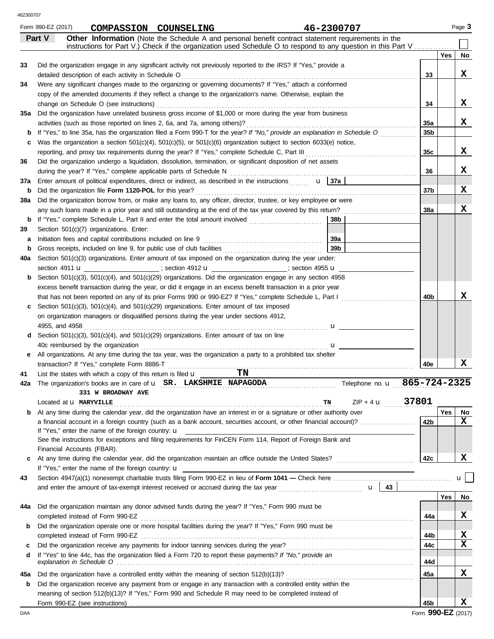|     | Form 990-EZ (2017)<br>COMPASSION COUNSELING<br>46-2300707                                                                                                                               |                 |     | Page 3      |
|-----|-----------------------------------------------------------------------------------------------------------------------------------------------------------------------------------------|-----------------|-----|-------------|
|     | Other Information (Note the Schedule A and personal benefit contract statement requirements in the<br>Part V                                                                            |                 |     |             |
|     | instructions for Part V.) Check if the organization used Schedule O to respond to any question in this Part V                                                                           |                 |     |             |
|     |                                                                                                                                                                                         |                 | Yes | No          |
| 33  | Did the organization engage in any significant activity not previously reported to the IRS? If "Yes," provide a                                                                         |                 |     |             |
|     | detailed description of each activity in Schedule O                                                                                                                                     | 33              |     | x           |
| 34  | Were any significant changes made to the organizing or governing documents? If "Yes," attach a conformed                                                                                |                 |     |             |
|     | copy of the amended documents if they reflect a change to the organization's name. Otherwise, explain the                                                                               |                 |     |             |
|     |                                                                                                                                                                                         | 34              |     | X.          |
| 35a | Did the organization have unrelated business gross income of \$1,000 or more during the year from business<br>activities (such as those reported on lines 2, 6a, and 7a, among others)? | 35a             |     | X.          |
| b   | If "Yes," to line 35a, has the organization filed a Form 990-T for the year? If "No," provide an explanation in Schedule O                                                              | 35 <sub>b</sub> |     |             |
| c   | Was the organization a section $501(c)(4)$ , $501(c)(5)$ , or $501(c)(6)$ organization subject to section $6033(e)$ notice,                                                             |                 |     |             |
|     | reporting, and proxy tax requirements during the year? If "Yes," complete Schedule C, Part III [[[[[[[[[[[[[[                                                                           | 35c             |     | X.          |
| 36  | Did the organization undergo a liquidation, dissolution, termination, or significant disposition of net assets                                                                          |                 |     |             |
|     |                                                                                                                                                                                         | 36              |     | X.          |
| 37а | Enter amount of political expenditures, direct or indirect, as described in the instructions $\cdots$ $\cdots$ $\cdots$ $\cdots$ $\left\lfloor \frac{37a}{2}\right\rfloor$              |                 |     |             |
| b   |                                                                                                                                                                                         | 37b             |     | x           |
| 38a | Did the organization borrow from, or make any loans to, any officer, director, trustee, or key employee or were                                                                         |                 |     |             |
|     |                                                                                                                                                                                         | 38a             |     | x           |
| b   | If "Yes," complete Schedule L, Part II and enter the total amount involved [11] complete schedule L, Part II and enter the total amount involved<br>38b                                 |                 |     |             |
| 39  | Section 501(c)(7) organizations. Enter:                                                                                                                                                 |                 |     |             |
| a   | 39a                                                                                                                                                                                     |                 |     |             |
| b   | 39 <sub>b</sub>                                                                                                                                                                         |                 |     |             |
| 40a | Section 501(c)(3) organizations. Enter amount of tax imposed on the organization during the year under:                                                                                 |                 |     |             |
|     | section 4911 <b>u</b><br>$\qquad \qquad$ ; section 4912 <b>u</b><br>$\qquad \qquad$ ; section 4955 <b>u</b>                                                                             |                 |     |             |
| b   | Section $501(c)(3)$ , $501(c)(4)$ , and $501(c)(29)$ organizations. Did the organization engage in any section 4958                                                                     |                 |     |             |
|     | excess benefit transaction during the year, or did it engage in an excess benefit transaction in a prior year                                                                           |                 |     |             |
|     | that has not been reported on any of its prior Forms 990 or 990-EZ? If "Yes," complete Schedule L, Part I                                                                               | 40 <sub>b</sub> |     | x           |
| c   | Section $501(c)(3)$ , $501(c)(4)$ , and $501(c)(29)$ organizations. Enter amount of tax imposed                                                                                         |                 |     |             |
|     | on organization managers or disqualified persons during the year under sections 4912,                                                                                                   |                 |     |             |
|     |                                                                                                                                                                                         |                 |     |             |
| d   | Section 501(c)(3), 501(c)(4), and 501(c)(29) organizations. Enter amount of tax on line                                                                                                 |                 |     |             |
|     | $\mathbf u$ and $\mathbf u$ and $\mathbf u$ and $\mathbf u$ and $\mathbf u$ and $\mathbf u$                                                                                             |                 |     |             |
| е   | All organizations. At any time during the tax year, was the organization a party to a prohibited tax shelter                                                                            |                 |     |             |
|     | transaction? If "Yes," complete Form 8886-T [[11] Assembly contract the Second State of Tansaction? If "Yes," complete Form 8886-T                                                      | 40e             |     | x           |
| 41  | TN<br>List the states with which a copy of this return is filed $\mathbf u$                                                                                                             |                 |     |             |
|     | 42a The organization's books are in care of <b>u</b> SR. LAKSHMIE NAPAGODA<br>Telephone no. $u = 865 - 724 - 2325$                                                                      |                 |     |             |
|     | 331 W BROADWAY AVE                                                                                                                                                                      |                 |     |             |
|     | $ZIP + 4$ <b>u</b> 37801<br>Located at <b>u</b> MARYVILLE<br>TN                                                                                                                         |                 |     |             |
| b   | At any time during the calendar year, did the organization have an interest in or a signature or other authority over                                                                   |                 | Yes | No          |
|     | a financial account in a foreign country (such as a bank account, securities account, or other financial account)?                                                                      | 42b             |     | $\mathbf x$ |
|     | If "Yes," enter the name of the foreign country: $\mathbf u$<br>See the instructions for exceptions and filing requirements for FinCEN Form 114, Report of Foreign Bank and             |                 |     |             |
|     | Financial Accounts (FBAR).                                                                                                                                                              |                 |     |             |
| c   |                                                                                                                                                                                         | 42c             |     | X           |
|     |                                                                                                                                                                                         |                 |     |             |
| 43  |                                                                                                                                                                                         |                 |     | u           |
|     |                                                                                                                                                                                         |                 |     |             |
|     |                                                                                                                                                                                         |                 | Yes | No          |
| 44a | Did the organization maintain any donor advised funds during the year? If "Yes," Form 990 must be                                                                                       |                 |     |             |
|     | completed instead of Form 990-EZ                                                                                                                                                        | 44a             |     | x           |
| b   | Did the organization operate one or more hospital facilities during the year? If "Yes," Form 990 must be                                                                                |                 |     |             |
|     |                                                                                                                                                                                         | 44b             |     | X           |
| c   |                                                                                                                                                                                         | 44c             |     | X           |
| d   | If "Yes" to line 44c, has the organization filed a Form 720 to report these payments? If "No," provide an                                                                               |                 |     |             |
|     |                                                                                                                                                                                         | 44d             |     |             |
| 45а | Did the organization have a controlled entity within the meaning of section 512(b)(13)?                                                                                                 | 45a             |     | x           |
| b   | Did the organization receive any payment from or engage in any transaction with a controlled entity within the                                                                          |                 |     |             |
|     | meaning of section 512(b)(13)? If "Yes," Form 990 and Schedule R may need to be completed instead of                                                                                    |                 |     |             |
|     |                                                                                                                                                                                         | 45 <sub>b</sub> |     | x           |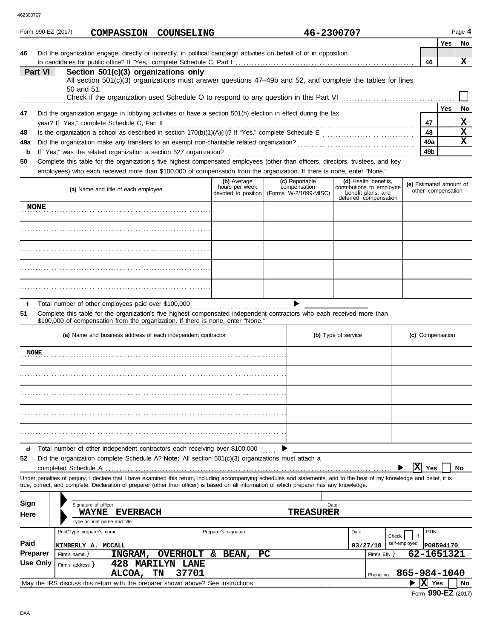|                      | Form 990-EZ (2017)                                                                                                                                                                                                                                                                                                                                                                |                                                               |                                      | COMPASSION COUNSELING                                        |    |       |                                                                                                                                                                                                                                                                                                                          |    | 46-2300707                                                                  |                              |                                                                                                  |                                |                                               | Page 4 |  |
|----------------------|-----------------------------------------------------------------------------------------------------------------------------------------------------------------------------------------------------------------------------------------------------------------------------------------------------------------------------------------------------------------------------------|---------------------------------------------------------------|--------------------------------------|--------------------------------------------------------------|----|-------|--------------------------------------------------------------------------------------------------------------------------------------------------------------------------------------------------------------------------------------------------------------------------------------------------------------------------|----|-----------------------------------------------------------------------------|------------------------------|--------------------------------------------------------------------------------------------------|--------------------------------|-----------------------------------------------|--------|--|
| 46                   |                                                                                                                                                                                                                                                                                                                                                                                   |                                                               |                                      |                                                              |    |       | Did the organization engage, directly or indirectly, in political campaign activities on behalf of or in opposition                                                                                                                                                                                                      |    |                                                                             |                              |                                                                                                  |                                | Yes                                           | No     |  |
|                      | Part VI                                                                                                                                                                                                                                                                                                                                                                           | 50 and 51.                                                    |                                      | Section 501(c)(3) organizations only                         |    |       | All section 501(c)(3) organizations must answer questions 47-49b and 52, and complete the tables for lines                                                                                                                                                                                                               |    |                                                                             |                              |                                                                                                  | 46                             |                                               | x.     |  |
| 47                   | Did the organization engage in lobbying activities or have a section 501(h) election in effect during the tax                                                                                                                                                                                                                                                                     |                                                               |                                      |                                                              |    |       |                                                                                                                                                                                                                                                                                                                          |    |                                                                             |                              | 47                                                                                               | Yes                            | No<br>x                                       |        |  |
| 48<br>49a<br>b<br>50 | year? If "Yes," complete Schedule C, Part II<br>If "Yes," was the related organization a section 527 organization?<br>Complete this table for the organization's five highest compensated employees (other than officers, directors, trustees, and key<br>employees) who each received more than \$100,000 of compensation from the organization. If there is none, enter "None." |                                                               |                                      |                                                              |    |       |                                                                                                                                                                                                                                                                                                                          |    |                                                                             | 48<br>49a<br>49 <sub>b</sub> |                                                                                                  | x<br>X                         |                                               |        |  |
|                      |                                                                                                                                                                                                                                                                                                                                                                                   |                                                               |                                      | (a) Name and title of each employee                          |    |       | (b) Average<br>hours per week                                                                                                                                                                                                                                                                                            |    | (c) Reportable<br>compensation<br>devoted to position (Forms W-2/1099-MISC) |                              | (d) Health benefits,<br>contributions to employee<br>benefit plans, and<br>deferred compensation |                                | (e) Estimated amount of<br>other compensation |        |  |
|                      | <b>NONE</b>                                                                                                                                                                                                                                                                                                                                                                       |                                                               |                                      |                                                              |    |       |                                                                                                                                                                                                                                                                                                                          |    |                                                                             |                              |                                                                                                  |                                |                                               |        |  |
|                      |                                                                                                                                                                                                                                                                                                                                                                                   |                                                               |                                      |                                                              |    |       |                                                                                                                                                                                                                                                                                                                          |    |                                                                             |                              |                                                                                                  |                                |                                               |        |  |
|                      |                                                                                                                                                                                                                                                                                                                                                                                   |                                                               |                                      |                                                              |    |       |                                                                                                                                                                                                                                                                                                                          |    |                                                                             |                              |                                                                                                  |                                |                                               |        |  |
|                      |                                                                                                                                                                                                                                                                                                                                                                                   |                                                               |                                      |                                                              |    |       |                                                                                                                                                                                                                                                                                                                          |    |                                                                             |                              |                                                                                                  |                                |                                               |        |  |
| f<br>51              |                                                                                                                                                                                                                                                                                                                                                                                   |                                                               |                                      |                                                              |    |       | Complete this table for the organization's five highest compensated independent contractors who each received more than<br>\$100,000 of compensation from the organization. If there is none, enter "None."                                                                                                              |    |                                                                             |                              |                                                                                                  |                                |                                               |        |  |
|                      |                                                                                                                                                                                                                                                                                                                                                                                   |                                                               |                                      | (a) Name and business address of each independent contractor |    |       |                                                                                                                                                                                                                                                                                                                          |    |                                                                             | (b) Type of service          |                                                                                                  | (c) Compensation               |                                               |        |  |
|                      | <b>NONE</b>                                                                                                                                                                                                                                                                                                                                                                       |                                                               |                                      |                                                              |    |       |                                                                                                                                                                                                                                                                                                                          |    |                                                                             |                              |                                                                                                  |                                |                                               |        |  |
|                      |                                                                                                                                                                                                                                                                                                                                                                                   |                                                               |                                      |                                                              |    |       |                                                                                                                                                                                                                                                                                                                          |    |                                                                             |                              |                                                                                                  |                                |                                               |        |  |
|                      |                                                                                                                                                                                                                                                                                                                                                                                   |                                                               |                                      |                                                              |    |       |                                                                                                                                                                                                                                                                                                                          |    |                                                                             |                              |                                                                                                  |                                |                                               |        |  |
|                      |                                                                                                                                                                                                                                                                                                                                                                                   |                                                               |                                      |                                                              |    |       |                                                                                                                                                                                                                                                                                                                          |    |                                                                             |                              |                                                                                                  |                                |                                               |        |  |
|                      |                                                                                                                                                                                                                                                                                                                                                                                   |                                                               |                                      |                                                              |    |       |                                                                                                                                                                                                                                                                                                                          |    |                                                                             |                              |                                                                                                  |                                |                                               |        |  |
| d<br>52              |                                                                                                                                                                                                                                                                                                                                                                                   | completed Schedule A                                          |                                      |                                                              |    |       | Total number of other independent contractors each receiving over \$100,000<br>Did the organization complete Schedule A? Note: All section $501(c)(3)$ organizations must attach a                                                                                                                                       |    |                                                                             |                              |                                                                                                  | $\overline{\mathbf{x}}$<br>Yes |                                               | No     |  |
|                      |                                                                                                                                                                                                                                                                                                                                                                                   |                                                               |                                      |                                                              |    |       | Under penalties of perjury, I declare that I have examined this return, including accompanying schedules and statements, and to the best of my knowledge and belief, it is<br>true, correct, and complete. Declaration of preparer (other than officer) is based on all information of which preparer has any knowledge. |    |                                                                             |                              |                                                                                                  |                                |                                               |        |  |
| Sign<br>Here         |                                                                                                                                                                                                                                                                                                                                                                                   |                                                               | Signature of officer<br><b>WAYNE</b> | <b>EVERBACH</b>                                              |    |       |                                                                                                                                                                                                                                                                                                                          |    | Date<br><b>TREASURER</b>                                                    |                              |                                                                                                  |                                |                                               |        |  |
| Paid                 |                                                                                                                                                                                                                                                                                                                                                                                   | Print/Type preparer's name                                    | Type or print name and title         |                                                              |    |       | Preparer's signature                                                                                                                                                                                                                                                                                                     |    |                                                                             | Date                         | Check                                                                                            | PTIN<br>if<br>self-employed    |                                               |        |  |
| <b>Preparer</b>      | <b>Use Only</b>                                                                                                                                                                                                                                                                                                                                                                   | KIMBERLY A. MCCALL<br>Firm's name $\}$<br>Firm's address $\}$ |                                      | INGRAM,<br>428 MARILYN LANE                                  |    |       | OVERHOLT & BEAN,                                                                                                                                                                                                                                                                                                         | PC |                                                                             |                              | 03/27/18<br>Firm's $EIN$ }                                                                       | 62-1651321                     | P00594170                                     |        |  |
|                      |                                                                                                                                                                                                                                                                                                                                                                                   |                                                               |                                      | ALCOA,                                                       | TN | 37701 | May the IRS discuss this return with the preparer shown above? See instructions                                                                                                                                                                                                                                          |    |                                                                             |                              | Phone no.                                                                                        | 865-984-1040<br>$ X $ Yes      |                                               | No     |  |

Form **990-EZ** (2017)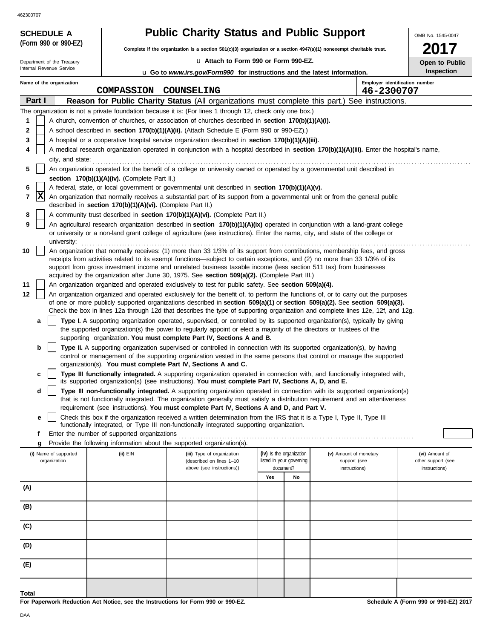**(Form 990 or 990-EZ)**

**SCHEDULE A** 

|  |  |  |  |  | <b>Public Charity Status and Public Support</b> |
|--|--|--|--|--|-------------------------------------------------|
|--|--|--|--|--|-------------------------------------------------|

**Complete if the organization is a section 501(c)(3) organization or a section 4947(a)(1) nonexempt charitable trust.**

| Department of the Treasury                    |                                                                                                                                                                |                          |                                                            | Open to Public                                                                                                                                                                                                                                                 |                                              |                                       |                        |                    |  |  |
|-----------------------------------------------|----------------------------------------------------------------------------------------------------------------------------------------------------------------|--------------------------|------------------------------------------------------------|----------------------------------------------------------------------------------------------------------------------------------------------------------------------------------------------------------------------------------------------------------------|----------------------------------------------|---------------------------------------|------------------------|--------------------|--|--|
|                                               |                                                                                                                                                                | Internal Revenue Service |                                                            | <b>u</b> Go to www.irs.gov/Form990 for instructions and the latest information.                                                                                                                                                                                |                                              |                                       |                        | <b>Inspection</b>  |  |  |
| Name of the organization<br><b>COMPASSION</b> |                                                                                                                                                                |                          |                                                            | COUNSELING                                                                                                                                                                                                                                                     | Employer identification number<br>46-2300707 |                                       |                        |                    |  |  |
|                                               | Part I                                                                                                                                                         |                          |                                                            | Reason for Public Charity Status (All organizations must complete this part.) See instructions.                                                                                                                                                                |                                              |                                       |                        |                    |  |  |
|                                               |                                                                                                                                                                |                          |                                                            | The organization is not a private foundation because it is: (For lines 1 through 12, check only one box.)                                                                                                                                                      |                                              |                                       |                        |                    |  |  |
| 1                                             |                                                                                                                                                                |                          |                                                            | A church, convention of churches, or association of churches described in section 170(b)(1)(A)(i).                                                                                                                                                             |                                              |                                       |                        |                    |  |  |
| 2                                             |                                                                                                                                                                |                          |                                                            | A school described in <b>section 170(b)(1)(A)(ii).</b> (Attach Schedule E (Form 990 or 990-EZ).)                                                                                                                                                               |                                              |                                       |                        |                    |  |  |
| 3                                             |                                                                                                                                                                |                          |                                                            | A hospital or a cooperative hospital service organization described in section 170(b)(1)(A)(iii).                                                                                                                                                              |                                              |                                       |                        |                    |  |  |
|                                               | A medical research organization operated in conjunction with a hospital described in section 170(b)(1)(A)(iii). Enter the hospital's name,<br>city, and state: |                          |                                                            |                                                                                                                                                                                                                                                                |                                              |                                       |                        |                    |  |  |
| 5                                             |                                                                                                                                                                |                          | section 170(b)(1)(A)(iv). (Complete Part II.)              | An organization operated for the benefit of a college or university owned or operated by a governmental unit described in                                                                                                                                      |                                              |                                       |                        |                    |  |  |
| 6                                             |                                                                                                                                                                |                          |                                                            | A federal, state, or local government or governmental unit described in section 170(b)(1)(A)(v).                                                                                                                                                               |                                              |                                       |                        |                    |  |  |
| 7                                             | x                                                                                                                                                              |                          | described in section 170(b)(1)(A)(vi). (Complete Part II.) | An organization that normally receives a substantial part of its support from a governmental unit or from the general public                                                                                                                                   |                                              |                                       |                        |                    |  |  |
| 8                                             |                                                                                                                                                                |                          |                                                            | A community trust described in section 170(b)(1)(A)(vi). (Complete Part II.)                                                                                                                                                                                   |                                              |                                       |                        |                    |  |  |
| 9                                             |                                                                                                                                                                |                          |                                                            | An agricultural research organization described in section 170(b)(1)(A)(ix) operated in conjunction with a land-grant college                                                                                                                                  |                                              |                                       |                        |                    |  |  |
|                                               |                                                                                                                                                                | university:              |                                                            | or university or a non-land grant college of agriculture (see instructions). Enter the name, city, and state of the college or                                                                                                                                 |                                              |                                       |                        |                    |  |  |
| 10                                            |                                                                                                                                                                |                          |                                                            | An organization that normally receives: (1) more than 33 1/3% of its support from contributions, membership fees, and gross                                                                                                                                    |                                              |                                       |                        |                    |  |  |
|                                               |                                                                                                                                                                |                          |                                                            | receipts from activities related to its exempt functions—subject to certain exceptions, and (2) no more than 33 1/3% of its                                                                                                                                    |                                              |                                       |                        |                    |  |  |
|                                               |                                                                                                                                                                |                          |                                                            | support from gross investment income and unrelated business taxable income (less section 511 tax) from businesses<br>acquired by the organization after June 30, 1975. See section 509(a)(2). (Complete Part III.)                                             |                                              |                                       |                        |                    |  |  |
| 11                                            |                                                                                                                                                                |                          |                                                            | An organization organized and operated exclusively to test for public safety. See section 509(a)(4).                                                                                                                                                           |                                              |                                       |                        |                    |  |  |
| 12                                            |                                                                                                                                                                |                          |                                                            | An organization organized and operated exclusively for the benefit of, to perform the functions of, or to carry out the purposes                                                                                                                               |                                              |                                       |                        |                    |  |  |
|                                               |                                                                                                                                                                |                          |                                                            | of one or more publicly supported organizations described in section 509(a)(1) or section 509(a)(2). See section 509(a)(3).<br>Check the box in lines 12a through 12d that describes the type of supporting organization and complete lines 12e, 12f, and 12g. |                                              |                                       |                        |                    |  |  |
|                                               | a                                                                                                                                                              |                          |                                                            | Type I. A supporting organization operated, supervised, or controlled by its supported organization(s), typically by giving                                                                                                                                    |                                              |                                       |                        |                    |  |  |
|                                               |                                                                                                                                                                |                          |                                                            | the supported organization(s) the power to regularly appoint or elect a majority of the directors or trustees of the                                                                                                                                           |                                              |                                       |                        |                    |  |  |
|                                               |                                                                                                                                                                |                          |                                                            | supporting organization. You must complete Part IV, Sections A and B.                                                                                                                                                                                          |                                              |                                       |                        |                    |  |  |
|                                               | b                                                                                                                                                              |                          |                                                            | Type II. A supporting organization supervised or controlled in connection with its supported organization(s), by having                                                                                                                                        |                                              |                                       |                        |                    |  |  |
|                                               |                                                                                                                                                                |                          |                                                            | control or management of the supporting organization vested in the same persons that control or manage the supported<br>organization(s). You must complete Part IV, Sections A and C.                                                                          |                                              |                                       |                        |                    |  |  |
|                                               |                                                                                                                                                                |                          |                                                            | Type III functionally integrated. A supporting organization operated in connection with, and functionally integrated with,<br>its supported organization(s) (see instructions). You must complete Part IV, Sections A, D, and E.                               |                                              |                                       |                        |                    |  |  |
|                                               | d                                                                                                                                                              |                          |                                                            | Type III non-functionally integrated. A supporting organization operated in connection with its supported organization(s)                                                                                                                                      |                                              |                                       |                        |                    |  |  |
|                                               |                                                                                                                                                                |                          |                                                            | that is not functionally integrated. The organization generally must satisfy a distribution requirement and an attentiveness                                                                                                                                   |                                              |                                       |                        |                    |  |  |
|                                               |                                                                                                                                                                |                          |                                                            | requirement (see instructions). You must complete Part IV, Sections A and D, and Part V.<br>Check this box if the organization received a written determination from the IRS that it is a Type I, Type II, Type III                                            |                                              |                                       |                        |                    |  |  |
|                                               | е                                                                                                                                                              |                          |                                                            | functionally integrated, or Type III non-functionally integrated supporting organization.                                                                                                                                                                      |                                              |                                       |                        |                    |  |  |
|                                               | f                                                                                                                                                              |                          | Enter the number of supported organizations                |                                                                                                                                                                                                                                                                |                                              |                                       |                        |                    |  |  |
|                                               | g                                                                                                                                                              |                          |                                                            | Provide the following information about the supported organization(s).                                                                                                                                                                                         |                                              |                                       |                        |                    |  |  |
|                                               |                                                                                                                                                                | (i) Name of supported    | (ii) EIN                                                   | (iii) Type of organization                                                                                                                                                                                                                                     |                                              | (iv) Is the organization              | (v) Amount of monetary | (vi) Amount of     |  |  |
|                                               |                                                                                                                                                                | organization             |                                                            | (described on lines 1-10<br>above (see instructions))                                                                                                                                                                                                          |                                              | listed in your governing<br>document? | support (see           | other support (see |  |  |
|                                               |                                                                                                                                                                |                          |                                                            |                                                                                                                                                                                                                                                                | Yes                                          | No                                    | instructions)          | instructions)      |  |  |
| (A)                                           |                                                                                                                                                                |                          |                                                            |                                                                                                                                                                                                                                                                |                                              |                                       |                        |                    |  |  |
|                                               |                                                                                                                                                                |                          |                                                            |                                                                                                                                                                                                                                                                |                                              |                                       |                        |                    |  |  |
| (B)                                           |                                                                                                                                                                |                          |                                                            |                                                                                                                                                                                                                                                                |                                              |                                       |                        |                    |  |  |
| (C)                                           |                                                                                                                                                                |                          |                                                            |                                                                                                                                                                                                                                                                |                                              |                                       |                        |                    |  |  |
| (D)                                           |                                                                                                                                                                |                          |                                                            |                                                                                                                                                                                                                                                                |                                              |                                       |                        |                    |  |  |
| (E)                                           |                                                                                                                                                                |                          |                                                            |                                                                                                                                                                                                                                                                |                                              |                                       |                        |                    |  |  |

**For Paperwork Reduction Act Notice, see the Instructions for Form 990 or 990-EZ.**

**Schedule A (Form 990 or 990-EZ) 2017**

OMB No. 1545-0047

**2017**

**Total**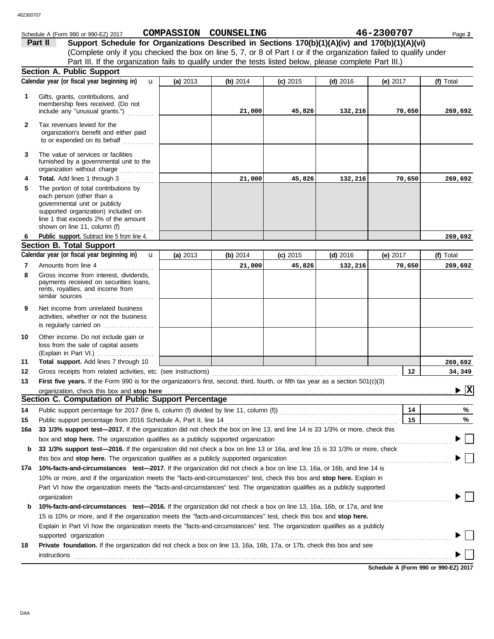|              | Schedule A (Form 990 or 990-EZ) 2017                                                                                                                                                                                                                                                                                                                    |          | COMPASSION COUNSELING |            |            | 46-2300707 | Page 2                                   |
|--------------|---------------------------------------------------------------------------------------------------------------------------------------------------------------------------------------------------------------------------------------------------------------------------------------------------------------------------------------------------------|----------|-----------------------|------------|------------|------------|------------------------------------------|
|              | Part II<br>Support Schedule for Organizations Described in Sections 170(b)(1)(A)(iv) and 170(b)(1)(A)(vi)                                                                                                                                                                                                                                               |          |                       |            |            |            |                                          |
|              | (Complete only if you checked the box on line 5, 7, or 8 of Part I or if the organization failed to qualify under                                                                                                                                                                                                                                       |          |                       |            |            |            |                                          |
|              | Part III. If the organization fails to qualify under the tests listed below, please complete Part III.)                                                                                                                                                                                                                                                 |          |                       |            |            |            |                                          |
|              | <b>Section A. Public Support</b>                                                                                                                                                                                                                                                                                                                        |          |                       |            |            |            |                                          |
|              | Calendar year (or fiscal year beginning in)<br>$\mathbf{u}$                                                                                                                                                                                                                                                                                             | (a) 2013 | (b) $2014$            | $(c)$ 2015 | $(d)$ 2016 | (e) 2017   | (f) Total                                |
|              |                                                                                                                                                                                                                                                                                                                                                         |          |                       |            |            |            |                                          |
| 1            | Gifts, grants, contributions, and<br>membership fees received. (Do not                                                                                                                                                                                                                                                                                  |          |                       |            |            |            |                                          |
|              | include any "unusual grants.")                                                                                                                                                                                                                                                                                                                          |          | 21,000                | 45,826     | 132,216    | 70,650     | 269,692                                  |
| $\mathbf{2}$ | Tax revenues levied for the                                                                                                                                                                                                                                                                                                                             |          |                       |            |            |            |                                          |
|              | organization's benefit and either paid                                                                                                                                                                                                                                                                                                                  |          |                       |            |            |            |                                          |
|              | to or expended on its behalf                                                                                                                                                                                                                                                                                                                            |          |                       |            |            |            |                                          |
|              |                                                                                                                                                                                                                                                                                                                                                         |          |                       |            |            |            |                                          |
| 3            | The value of services or facilities<br>furnished by a governmental unit to the                                                                                                                                                                                                                                                                          |          |                       |            |            |            |                                          |
|              | organization without charge with an area with an area with an area with an area with an area with an area with                                                                                                                                                                                                                                          |          |                       |            |            |            |                                          |
| 4            | <b>Total.</b> Add lines 1 through 3<br><u>.</u><br>.                                                                                                                                                                                                                                                                                                    |          | 21,000                | 45,826     | 132,216    | 70,650     | 269,692                                  |
| 5            | The portion of total contributions by                                                                                                                                                                                                                                                                                                                   |          |                       |            |            |            |                                          |
|              | each person (other than a                                                                                                                                                                                                                                                                                                                               |          |                       |            |            |            |                                          |
|              | governmental unit or publicly                                                                                                                                                                                                                                                                                                                           |          |                       |            |            |            |                                          |
|              | supported organization) included on<br>line 1 that exceeds 2% of the amount                                                                                                                                                                                                                                                                             |          |                       |            |            |            |                                          |
|              | shown on line 11, column (f) $\ldots$                                                                                                                                                                                                                                                                                                                   |          |                       |            |            |            |                                          |
| 6            | Public support. Subtract line 5 from line 4.                                                                                                                                                                                                                                                                                                            |          |                       |            |            |            | 269,692                                  |
|              | <b>Section B. Total Support</b>                                                                                                                                                                                                                                                                                                                         |          |                       |            |            |            |                                          |
|              | Calendar year (or fiscal year beginning in)<br>$\mathbf{u}$                                                                                                                                                                                                                                                                                             | (a) 2013 | (b) 2014              | $(c)$ 2015 | $(d)$ 2016 | (e) 2017   | (f) Total                                |
| 7            | Amounts from line 4                                                                                                                                                                                                                                                                                                                                     |          | 21,000                | 45,826     | 132,216    | 70,650     | 269,692                                  |
| 8            | Gross income from interest, dividends,                                                                                                                                                                                                                                                                                                                  |          |                       |            |            |            |                                          |
|              | payments received on securities loans,                                                                                                                                                                                                                                                                                                                  |          |                       |            |            |            |                                          |
|              | rents, royalties, and income from                                                                                                                                                                                                                                                                                                                       |          |                       |            |            |            |                                          |
|              | similar sources                                                                                                                                                                                                                                                                                                                                         |          |                       |            |            |            |                                          |
| 9            | Net income from unrelated business                                                                                                                                                                                                                                                                                                                      |          |                       |            |            |            |                                          |
|              | activities, whether or not the business                                                                                                                                                                                                                                                                                                                 |          |                       |            |            |            |                                          |
|              | is regularly carried on                                                                                                                                                                                                                                                                                                                                 |          |                       |            |            |            |                                          |
| 10           | Other income. Do not include gain or                                                                                                                                                                                                                                                                                                                    |          |                       |            |            |            |                                          |
|              | loss from the sale of capital assets                                                                                                                                                                                                                                                                                                                    |          |                       |            |            |            |                                          |
| 11           | (Explain in Part VI.)<br>Total support. Add lines 7 through 10                                                                                                                                                                                                                                                                                          |          |                       |            |            |            | 269,692                                  |
| 12           |                                                                                                                                                                                                                                                                                                                                                         |          |                       |            |            | 12         | 34,349                                   |
| 13           | First five years. If the Form 990 is for the organization's first, second, third, fourth, or fifth tax year as a section 501(c)(3)                                                                                                                                                                                                                      |          |                       |            |            |            |                                          |
|              | organization, check this box and stop here                                                                                                                                                                                                                                                                                                              |          |                       |            |            |            | $\blacktriangleright$ $\boxed{\text{X}}$ |
|              | Section C. Computation of Public Support Percentage                                                                                                                                                                                                                                                                                                     |          |                       |            |            |            |                                          |
| 14           |                                                                                                                                                                                                                                                                                                                                                         |          |                       |            |            | 14         | %                                        |
| 15           |                                                                                                                                                                                                                                                                                                                                                         |          |                       |            |            | 15         | %                                        |
| 16a          | 33 1/3% support test-2017. If the organization did not check the box on line 13, and line 14 is 33 1/3% or more, check this                                                                                                                                                                                                                             |          |                       |            |            |            |                                          |
|              |                                                                                                                                                                                                                                                                                                                                                         |          |                       |            |            |            | $\sim$                                   |
| b            | 33 1/3% support test-2016. If the organization did not check a box on line 13 or 16a, and line 15 is 33 1/3% or more, check                                                                                                                                                                                                                             |          |                       |            |            |            |                                          |
|              |                                                                                                                                                                                                                                                                                                                                                         |          |                       |            |            |            |                                          |
| 17a          | 10%-facts-and-circumstances test-2017. If the organization did not check a box on line 13, 16a, or 16b, and line 14 is                                                                                                                                                                                                                                  |          |                       |            |            |            |                                          |
|              | 10% or more, and if the organization meets the "facts-and-circumstances" test, check this box and stop here. Explain in                                                                                                                                                                                                                                 |          |                       |            |            |            |                                          |
|              | Part VI how the organization meets the "facts-and-circumstances" test. The organization qualifies as a publicly supported                                                                                                                                                                                                                               |          |                       |            |            |            |                                          |
|              |                                                                                                                                                                                                                                                                                                                                                         |          |                       |            |            |            |                                          |
| b            | organization www.commutation.com/www.commutation.com/www.commutation.com/www.commutation.com/www.commutation.com<br>10%-facts-and-circumstances test-2016. If the organization did not check a box on line 13, 16a, 16b, or 17a, and line                                                                                                               |          |                       |            |            |            |                                          |
|              | 15 is 10% or more, and if the organization meets the "facts-and-circumstances" test, check this box and stop here.                                                                                                                                                                                                                                      |          |                       |            |            |            |                                          |
|              |                                                                                                                                                                                                                                                                                                                                                         |          |                       |            |            |            |                                          |
|              | Explain in Part VI how the organization meets the "facts-and-circumstances" test. The organization qualifies as a publicly                                                                                                                                                                                                                              |          |                       |            |            |            |                                          |
|              | supported organization contains and contains a supported organization contains a supported organization contains a supported organization contains a supported or supported or support of the support of the support of the su<br>Private foundation. If the organization did not check a box on line 13, 16a, 16b, 17a, or 17b, check this box and see |          |                       |            |            |            |                                          |
| 18           |                                                                                                                                                                                                                                                                                                                                                         |          |                       |            |            |            |                                          |
|              | instructions                                                                                                                                                                                                                                                                                                                                            |          |                       |            |            |            |                                          |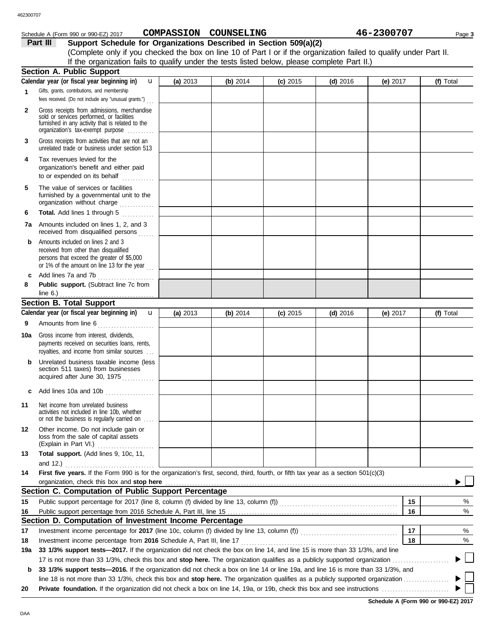| Schedule A (Form 990 or 990-EZ) 2017                                                                               |            | COMPASSION COUNSELING |            |            | 46-2300707 | Page 3    |
|--------------------------------------------------------------------------------------------------------------------|------------|-----------------------|------------|------------|------------|-----------|
| Part III<br>Support Schedule for Organizations Described in Section 509(a)(2)                                      |            |                       |            |            |            |           |
| (Complete only if you checked the box on line 10 of Part I or if the organization failed to qualify under Part II. |            |                       |            |            |            |           |
| If the organization fails to qualify under the tests listed below, please complete Part II.)                       |            |                       |            |            |            |           |
| <b>Section A. Public Support</b>                                                                                   |            |                       |            |            |            |           |
| Calendar year (or fiscal year beginning in)<br>$\mathbf u$                                                         | (a) $2013$ | (b) 2014              | $(c)$ 2015 | $(d)$ 2016 | (e) $2017$ | (f) Total |
| Gifts, grants, contributions, and membership                                                                       |            |                       |            |            |            |           |
| fees received. (Do not include any "unusual grants.")                                                              |            |                       |            |            |            |           |
| Gross receipts from admissions, merchandise<br>sold or services performed, or facilities                           |            |                       |            |            |            |           |
| furnished in any activity that is related to the<br>organization's tax-exempt purpose                              |            |                       |            |            |            |           |
| Gross receipts from activities that are not an<br>unrelated trade or business under section 513                    |            |                       |            |            |            |           |
| Toy rovenues loyied for the                                                                                        |            |                       |            |            |            |           |

| 4 | Tax revenues levied for the            |
|---|----------------------------------------|
|   | organization's benefit and either paid |
|   | to or expended on its behalf           |
|   |                                        |

| 5 | The value of services or facilities     |  |  |  |  |  |  |
|---|-----------------------------------------|--|--|--|--|--|--|
|   | furnished by a governmental unit to the |  |  |  |  |  |  |
|   | organization without charge<br>.        |  |  |  |  |  |  |
|   |                                         |  |  |  |  |  |  |

| <b>Total.</b> Add lines 1 through 5                                         |  |
|-----------------------------------------------------------------------------|--|
| Amounts included on lines 1, 2, and 3<br>received from disqualified persons |  |
|                                                                             |  |

|              | .                                                                                                                                                                       |  |  |  |
|--------------|-------------------------------------------------------------------------------------------------------------------------------------------------------------------------|--|--|--|
| b.           | Amounts included on lines 2 and 3<br>received from other than disqualified<br>persons that exceed the greater of \$5,000<br>or 1% of the amount on line 13 for the year |  |  |  |
| $\mathbf{c}$ | .<br>Add lines 7a and 7b                                                                                                                                                |  |  |  |
|              |                                                                                                                                                                         |  |  |  |

| 8 |             | .<br><b>Public support.</b> (Subtract line 7c from |  |
|---|-------------|----------------------------------------------------|--|
|   | line $6.$ ) |                                                    |  |

### **Section B. Total Support**

|         | Calendar year (or fiscal year beginning in)<br>$\mathbf{u}$                                                                                                                       | (a) 2013 | (b) 2014 | $(c)$ 2015 | $(d)$ 2016 | (e) 2017 | (f) Total |  |
|---------|-----------------------------------------------------------------------------------------------------------------------------------------------------------------------------------|----------|----------|------------|------------|----------|-----------|--|
| 9       | Amounts from line 6<br>.                                                                                                                                                          |          |          |            |            |          |           |  |
| 10a     | Gross income from interest, dividends,<br>payments received on securities loans, rents,<br>royalties, and income from similar sources                                             |          |          |            |            |          |           |  |
| b       | Unrelated business taxable income (less<br>section 511 taxes) from businesses<br>acquired after June 30, 1975<br><u>.</u><br>.                                                    |          |          |            |            |          |           |  |
| c       | Add lines 10a and 10b                                                                                                                                                             |          |          |            |            |          |           |  |
| 11      | Net income from unrelated business<br>activities not included in line 10b, whether<br>or not the business is regularly carried on                                                 |          |          |            |            |          |           |  |
| $12 \,$ | Other income. Do not include gain or<br>loss from the sale of capital assets<br>(Explain in Part VI.)                                                                             |          |          |            |            |          |           |  |
| 13      | Total support. (Add lines 9, 10c, 11,                                                                                                                                             |          |          |            |            |          |           |  |
|         | and 12.) $\ldots$ $\ldots$ $\ldots$ $\ldots$ $\ldots$                                                                                                                             |          |          |            |            |          |           |  |
| 14      | First five years. If the Form 990 is for the organization's first, second, third, fourth, or fifth tax year as a section 501(c)(3)<br>organization, check this box and stop here  |          |          |            |            |          |           |  |
|         | Section C. Computation of Public Support Percentage                                                                                                                               |          |          |            |            |          |           |  |
| 15      | Public support percentage for 2017 (line 8, column (f) divided by line 13, column (f)) [[[[[[[[[[[[[[[[[[[[[[                                                                     |          |          |            |            | 15       | %         |  |
| 16      |                                                                                                                                                                                   | 16       | %        |            |            |          |           |  |
|         | Section D. Computation of Investment Income Percentage                                                                                                                            |          |          |            |            |          | %         |  |
| 17      | 17                                                                                                                                                                                |          |          |            |            |          |           |  |
| 18      | 18<br>Investment income percentage from 2016 Schedule A, Part III, line 17<br>%                                                                                                   |          |          |            |            |          |           |  |
| 19a     | 33 1/3% support tests—2017. If the organization did not check the box on line 14, and line 15 is more than 33 1/3%, and line                                                      |          |          |            |            |          |           |  |
|         | $\blacktriangleright \!\!\! \perp$<br>17 is not more than 33 1/3%, check this box and stop here. The organization qualifies as a publicly supported organization <i>community</i> |          |          |            |            |          |           |  |
| b       | 33 1/3% support tests—2016. If the organization did not check a box on line 14 or line 19a, and line 16 is more than 33 1/3%, and                                                 |          |          |            |            |          |           |  |
|         |                                                                                                                                                                                   |          |          |            |            |          | ▶         |  |
| 20      |                                                                                                                                                                                   |          |          |            |            |          |           |  |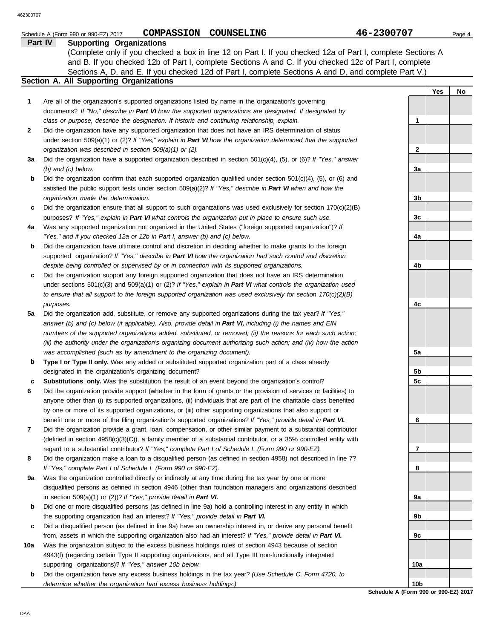|                                                      | COMPASSION COUNSELING<br>Schedule A (Form 990 or 990-EZ) 2017                                                                                                                                                      | 46-2300707      |  | Page 4 |  |  |  |  |  |  |
|------------------------------------------------------|--------------------------------------------------------------------------------------------------------------------------------------------------------------------------------------------------------------------|-----------------|--|--------|--|--|--|--|--|--|
|                                                      | <b>Part IV</b><br><b>Supporting Organizations</b>                                                                                                                                                                  |                 |  |        |  |  |  |  |  |  |
|                                                      | (Complete only if you checked a box in line 12 on Part I. If you checked 12a of Part I, complete Sections A                                                                                                        |                 |  |        |  |  |  |  |  |  |
|                                                      | and B. If you checked 12b of Part I, complete Sections A and C. If you checked 12c of Part I, complete                                                                                                             |                 |  |        |  |  |  |  |  |  |
|                                                      | Sections A, D, and E. If you checked 12d of Part I, complete Sections A and D, and complete Part V.)                                                                                                               |                 |  |        |  |  |  |  |  |  |
| Section A. All Supporting Organizations<br>Yes<br>No |                                                                                                                                                                                                                    |                 |  |        |  |  |  |  |  |  |
| 1                                                    | Are all of the organization's supported organizations listed by name in the organization's governing                                                                                                               |                 |  |        |  |  |  |  |  |  |
|                                                      | documents? If "No," describe in Part VI how the supported organizations are designated. If designated by                                                                                                           |                 |  |        |  |  |  |  |  |  |
|                                                      | class or purpose, describe the designation. If historic and continuing relationship, explain.                                                                                                                      | 1               |  |        |  |  |  |  |  |  |
| 2                                                    | Did the organization have any supported organization that does not have an IRS determination of status                                                                                                             |                 |  |        |  |  |  |  |  |  |
|                                                      | under section 509(a)(1) or (2)? If "Yes," explain in Part VI how the organization determined that the supported                                                                                                    |                 |  |        |  |  |  |  |  |  |
|                                                      | organization was described in section 509(a)(1) or (2).                                                                                                                                                            | 2               |  |        |  |  |  |  |  |  |
| За                                                   | Did the organization have a supported organization described in section $501(c)(4)$ , (5), or (6)? If "Yes," answer                                                                                                |                 |  |        |  |  |  |  |  |  |
|                                                      | $(b)$ and $(c)$ below.                                                                                                                                                                                             | 3a              |  |        |  |  |  |  |  |  |
| b                                                    | Did the organization confirm that each supported organization qualified under section $501(c)(4)$ , $(5)$ , or $(6)$ and                                                                                           |                 |  |        |  |  |  |  |  |  |
|                                                      | satisfied the public support tests under section 509(a)(2)? If "Yes," describe in Part VI when and how the                                                                                                         |                 |  |        |  |  |  |  |  |  |
|                                                      | organization made the determination.                                                                                                                                                                               | 3b              |  |        |  |  |  |  |  |  |
| c                                                    | Did the organization ensure that all support to such organizations was used exclusively for section $170(c)(2)(B)$                                                                                                 |                 |  |        |  |  |  |  |  |  |
|                                                      | purposes? If "Yes," explain in Part VI what controls the organization put in place to ensure such use.<br>Was any supported organization not organized in the United States ("foreign supported organization")? If | 3c              |  |        |  |  |  |  |  |  |
| 4a                                                   | "Yes," and if you checked 12a or 12b in Part I, answer (b) and (c) below.                                                                                                                                          | 4a              |  |        |  |  |  |  |  |  |
| b                                                    | Did the organization have ultimate control and discretion in deciding whether to make grants to the foreign                                                                                                        |                 |  |        |  |  |  |  |  |  |
|                                                      | supported organization? If "Yes," describe in Part VI how the organization had such control and discretion                                                                                                         |                 |  |        |  |  |  |  |  |  |
|                                                      | despite being controlled or supervised by or in connection with its supported organizations.                                                                                                                       | 4b              |  |        |  |  |  |  |  |  |
| c                                                    | Did the organization support any foreign supported organization that does not have an IRS determination                                                                                                            |                 |  |        |  |  |  |  |  |  |
|                                                      | under sections $501(c)(3)$ and $509(a)(1)$ or (2)? If "Yes," explain in Part VI what controls the organization used                                                                                                |                 |  |        |  |  |  |  |  |  |
|                                                      | to ensure that all support to the foreign supported organization was used exclusively for section $170(c)(2)(B)$                                                                                                   |                 |  |        |  |  |  |  |  |  |
|                                                      | purposes.                                                                                                                                                                                                          | 4c              |  |        |  |  |  |  |  |  |
| 5a                                                   | Did the organization add, substitute, or remove any supported organizations during the tax year? If "Yes,"                                                                                                         |                 |  |        |  |  |  |  |  |  |
|                                                      | answer (b) and (c) below (if applicable). Also, provide detail in Part VI, including (i) the names and EIN                                                                                                         |                 |  |        |  |  |  |  |  |  |
|                                                      | numbers of the supported organizations added, substituted, or removed; (ii) the reasons for each such action;                                                                                                      |                 |  |        |  |  |  |  |  |  |
|                                                      | (iii) the authority under the organization's organizing document authorizing such action; and (iv) how the action                                                                                                  |                 |  |        |  |  |  |  |  |  |
|                                                      | was accomplished (such as by amendment to the organizing document).                                                                                                                                                | 5a              |  |        |  |  |  |  |  |  |
| b                                                    | Type I or Type II only. Was any added or substituted supported organization part of a class already                                                                                                                |                 |  |        |  |  |  |  |  |  |
|                                                      | designated in the organization's organizing document?<br>Substitutions only. Was the substitution the result of an event beyond the organization's control?                                                        | 5b<br>5с        |  |        |  |  |  |  |  |  |
| c<br>6                                               | Did the organization provide support (whether in the form of grants or the provision of services or facilities) to                                                                                                 |                 |  |        |  |  |  |  |  |  |
|                                                      | anyone other than (i) its supported organizations, (ii) individuals that are part of the charitable class benefited                                                                                                |                 |  |        |  |  |  |  |  |  |
|                                                      | by one or more of its supported organizations, or (iii) other supporting organizations that also support or                                                                                                        |                 |  |        |  |  |  |  |  |  |
|                                                      | benefit one or more of the filing organization's supported organizations? If "Yes," provide detail in Part VI.                                                                                                     | 6               |  |        |  |  |  |  |  |  |
| 7                                                    | Did the organization provide a grant, loan, compensation, or other similar payment to a substantial contributor                                                                                                    |                 |  |        |  |  |  |  |  |  |
|                                                      | (defined in section $4958(c)(3)(C)$ ), a family member of a substantial contributor, or a 35% controlled entity with                                                                                               |                 |  |        |  |  |  |  |  |  |
|                                                      | regard to a substantial contributor? If "Yes," complete Part I of Schedule L (Form 990 or 990-EZ).                                                                                                                 | 7               |  |        |  |  |  |  |  |  |
| 8                                                    | Did the organization make a loan to a disqualified person (as defined in section 4958) not described in line 7?                                                                                                    |                 |  |        |  |  |  |  |  |  |
|                                                      | If "Yes," complete Part I of Schedule L (Form 990 or 990-EZ).                                                                                                                                                      | 8               |  |        |  |  |  |  |  |  |
| 9а                                                   | Was the organization controlled directly or indirectly at any time during the tax year by one or more                                                                                                              |                 |  |        |  |  |  |  |  |  |
|                                                      | disqualified persons as defined in section 4946 (other than foundation managers and organizations described                                                                                                        |                 |  |        |  |  |  |  |  |  |
|                                                      | in section 509(a)(1) or (2))? If "Yes," provide detail in Part VI.                                                                                                                                                 | 9а              |  |        |  |  |  |  |  |  |
| b                                                    | Did one or more disqualified persons (as defined in line 9a) hold a controlling interest in any entity in which<br>the supporting organization had an interest? If "Yes," provide detail in Part VI.               | 9b              |  |        |  |  |  |  |  |  |
| c                                                    | Did a disqualified person (as defined in line 9a) have an ownership interest in, or derive any personal benefit                                                                                                    |                 |  |        |  |  |  |  |  |  |
|                                                      | from, assets in which the supporting organization also had an interest? If "Yes," provide detail in Part VI.                                                                                                       | 9c              |  |        |  |  |  |  |  |  |
| 10a                                                  | Was the organization subject to the excess business holdings rules of section 4943 because of section                                                                                                              |                 |  |        |  |  |  |  |  |  |
|                                                      | 4943(f) (regarding certain Type II supporting organizations, and all Type III non-functionally integrated                                                                                                          |                 |  |        |  |  |  |  |  |  |
|                                                      | supporting organizations)? If "Yes," answer 10b below.                                                                                                                                                             | 10a             |  |        |  |  |  |  |  |  |
| b                                                    | Did the organization have any excess business holdings in the tax year? (Use Schedule C, Form 4720, to                                                                                                             |                 |  |        |  |  |  |  |  |  |
|                                                      | determine whether the organization had excess business holdings.)                                                                                                                                                  | 10 <sub>b</sub> |  |        |  |  |  |  |  |  |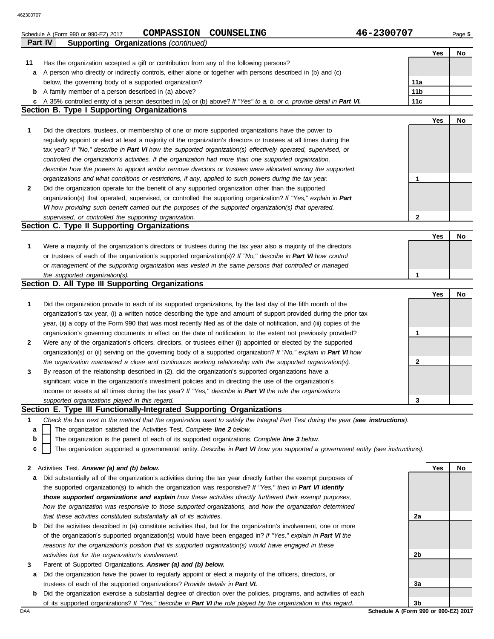**Part IV Supporting Organizations** *(continued)*

|              |                                                                                                                                                                                                                                  |                 | Yes | No |
|--------------|----------------------------------------------------------------------------------------------------------------------------------------------------------------------------------------------------------------------------------|-----------------|-----|----|
| 11           | Has the organization accepted a gift or contribution from any of the following persons?                                                                                                                                          |                 |     |    |
| а            | A person who directly or indirectly controls, either alone or together with persons described in (b) and (c)                                                                                                                     |                 |     |    |
|              | below, the governing body of a supported organization?                                                                                                                                                                           | 11a             |     |    |
|              | <b>b</b> A family member of a person described in (a) above?                                                                                                                                                                     | 11 <sub>b</sub> |     |    |
| c            | A 35% controlled entity of a person described in (a) or (b) above? If "Yes" to a, b, or c, provide detail in Part VI.                                                                                                            | 11 <sub>c</sub> |     |    |
|              | <b>Section B. Type I Supporting Organizations</b>                                                                                                                                                                                |                 |     |    |
| 1            | Did the directors, trustees, or membership of one or more supported organizations have the power to                                                                                                                              |                 | Yes | No |
|              | regularly appoint or elect at least a majority of the organization's directors or trustees at all times during the                                                                                                               |                 |     |    |
|              | tax year? If "No," describe in Part VI how the supported organization(s) effectively operated, supervised, or                                                                                                                    |                 |     |    |
|              | controlled the organization's activities. If the organization had more than one supported organization,                                                                                                                          |                 |     |    |
|              | describe how the powers to appoint and/or remove directors or trustees were allocated among the supported                                                                                                                        |                 |     |    |
|              | organizations and what conditions or restrictions, if any, applied to such powers during the tax year.                                                                                                                           | 1               |     |    |
| 2            | Did the organization operate for the benefit of any supported organization other than the supported                                                                                                                              |                 |     |    |
|              | organization(s) that operated, supervised, or controlled the supporting organization? If "Yes," explain in Part                                                                                                                  |                 |     |    |
|              | VI how providing such benefit carried out the purposes of the supported organization(s) that operated,                                                                                                                           |                 |     |    |
|              | supervised, or controlled the supporting organization.                                                                                                                                                                           | 2               |     |    |
|              | Section C. Type II Supporting Organizations                                                                                                                                                                                      |                 |     |    |
|              |                                                                                                                                                                                                                                  |                 | Yes | No |
| 1            | Were a majority of the organization's directors or trustees during the tax year also a majority of the directors                                                                                                                 |                 |     |    |
|              | or trustees of each of the organization's supported organization(s)? If "No," describe in Part VI how control                                                                                                                    |                 |     |    |
|              | or management of the supporting organization was vested in the same persons that controlled or managed                                                                                                                           |                 |     |    |
|              | the supported organization(s).<br>Section D. All Type III Supporting Organizations                                                                                                                                               | 1               |     |    |
|              |                                                                                                                                                                                                                                  |                 | Yes | No |
| 1            | Did the organization provide to each of its supported organizations, by the last day of the fifth month of the                                                                                                                   |                 |     |    |
|              | organization's tax year, (i) a written notice describing the type and amount of support provided during the prior tax                                                                                                            |                 |     |    |
|              | year, (ii) a copy of the Form 990 that was most recently filed as of the date of notification, and (iii) copies of the                                                                                                           |                 |     |    |
|              | organization's governing documents in effect on the date of notification, to the extent not previously provided?                                                                                                                 | 1               |     |    |
| 2            | Were any of the organization's officers, directors, or trustees either (i) appointed or elected by the supported                                                                                                                 |                 |     |    |
|              | organization(s) or (ii) serving on the governing body of a supported organization? If "No," explain in Part VI how                                                                                                               |                 |     |    |
|              | the organization maintained a close and continuous working relationship with the supported organization(s).                                                                                                                      | 2               |     |    |
| 3            | By reason of the relationship described in (2), did the organization's supported organizations have a                                                                                                                            |                 |     |    |
|              | significant voice in the organization's investment policies and in directing the use of the organization's                                                                                                                       |                 |     |    |
|              | income or assets at all times during the tax year? If "Yes," describe in Part VI the role the organization's                                                                                                                     |                 |     |    |
|              | supported organizations played in this regard.                                                                                                                                                                                   | 3               |     |    |
|              | Section E. Type III Functionally-Integrated Supporting Organizations                                                                                                                                                             |                 |     |    |
| 1            | Check the box next to the method that the organization used to satisfy the Integral Part Test during the year (see instructions).                                                                                                |                 |     |    |
| а            | The organization satisfied the Activities Test. Complete line 2 below.                                                                                                                                                           |                 |     |    |
| b<br>с       | The organization is the parent of each of its supported organizations. Complete line 3 below.<br>The organization supported a governmental entity. Describe in Part VI how you supported a government entity (see instructions). |                 |     |    |
|              |                                                                                                                                                                                                                                  |                 |     |    |
| $\mathbf{z}$ | Activities Test. Answer (a) and (b) below.                                                                                                                                                                                       |                 | Yes | No |
| а            | Did substantially all of the organization's activities during the tax year directly further the exempt purposes of                                                                                                               |                 |     |    |
|              | the supported organization(s) to which the organization was responsive? If "Yes," then in Part VI identify                                                                                                                       |                 |     |    |
|              | those supported organizations and explain how these activities directly furthered their exempt purposes,                                                                                                                         |                 |     |    |
|              | how the organization was responsive to those supported organizations, and how the organization determined                                                                                                                        |                 |     |    |
|              | that these activities constituted substantially all of its activities.                                                                                                                                                           | 2a              |     |    |
| b            | Did the activities described in (a) constitute activities that, but for the organization's involvement, one or more                                                                                                              |                 |     |    |
|              | of the organization's supported organization(s) would have been engaged in? If "Yes," explain in Part VI the                                                                                                                     |                 |     |    |
|              | reasons for the organization's position that its supported organization(s) would have engaged in these                                                                                                                           |                 |     |    |
|              | activities but for the organization's involvement.                                                                                                                                                                               | 2b              |     |    |
| 3            | Parent of Supported Organizations. Answer (a) and (b) below.                                                                                                                                                                     |                 |     |    |
| a            | Did the organization have the power to regularly appoint or elect a majority of the officers, directors, or                                                                                                                      |                 |     |    |
|              | trustees of each of the supported organizations? Provide details in Part VI.                                                                                                                                                     | За              |     |    |
| b            | Did the organization exercise a substantial degree of direction over the policies, programs, and activities of each                                                                                                              |                 |     |    |
| DAA          | of its supported organizations? If "Yes," describe in Part VI the role played by the organization in this regard.<br>Schedule A (Form 990 or 990-EZ) 2017                                                                        | 3b              |     |    |
|              |                                                                                                                                                                                                                                  |                 |     |    |

Schedule A (Form 990 or 990-EZ) 2017 Page **5 COMPASSION COUNSELING 46-2300707**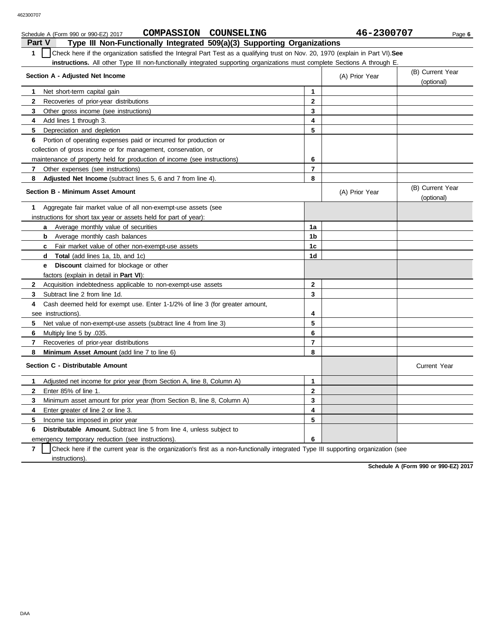| <b>Part V</b><br>Type III Non-Functionally Integrated 509(a)(3) Supporting Organizations                                              |                |                |                                |  |  |  |  |  |
|---------------------------------------------------------------------------------------------------------------------------------------|----------------|----------------|--------------------------------|--|--|--|--|--|
| 1<br>Check here if the organization satisfied the Integral Part Test as a qualifying trust on Nov. 20, 1970 (explain in Part VI). See |                |                |                                |  |  |  |  |  |
| <b>instructions.</b> All other Type III non-functionally integrated supporting organizations must complete Sections A through E.      |                |                |                                |  |  |  |  |  |
| Section A - Adjusted Net Income                                                                                                       |                | (A) Prior Year | (B) Current Year<br>(optional) |  |  |  |  |  |
| Net short-term capital gain<br>1                                                                                                      | $\mathbf{1}$   |                |                                |  |  |  |  |  |
| $\mathbf{2}$<br>Recoveries of prior-year distributions                                                                                | $\mathbf{2}$   |                |                                |  |  |  |  |  |
| 3<br>Other gross income (see instructions)                                                                                            | 3              |                |                                |  |  |  |  |  |
| Add lines 1 through 3.<br>4                                                                                                           | 4              |                |                                |  |  |  |  |  |
| 5<br>Depreciation and depletion                                                                                                       | 5              |                |                                |  |  |  |  |  |
| Portion of operating expenses paid or incurred for production or<br>6                                                                 |                |                |                                |  |  |  |  |  |
| collection of gross income or for management, conservation, or                                                                        |                |                |                                |  |  |  |  |  |
| maintenance of property held for production of income (see instructions)                                                              | 6              |                |                                |  |  |  |  |  |
| Other expenses (see instructions)<br>7                                                                                                | $\overline{7}$ |                |                                |  |  |  |  |  |
| 8<br><b>Adjusted Net Income</b> (subtract lines 5, 6 and 7 from line 4).                                                              | 8              |                |                                |  |  |  |  |  |
| <b>Section B - Minimum Asset Amount</b>                                                                                               |                | (A) Prior Year | (B) Current Year<br>(optional) |  |  |  |  |  |
| Aggregate fair market value of all non-exempt-use assets (see<br>1                                                                    |                |                |                                |  |  |  |  |  |
| instructions for short tax year or assets held for part of year):                                                                     |                |                |                                |  |  |  |  |  |
| <b>a</b> Average monthly value of securities                                                                                          | 1a             |                |                                |  |  |  |  |  |
| b<br>Average monthly cash balances                                                                                                    | 1b             |                |                                |  |  |  |  |  |
| Fair market value of other non-exempt-use assets<br>C                                                                                 | 1 <sub>c</sub> |                |                                |  |  |  |  |  |
| <b>Total</b> (add lines 1a, 1b, and 1c)<br>d                                                                                          | 1 <sub>d</sub> |                |                                |  |  |  |  |  |
| Discount claimed for blockage or other<br>e                                                                                           |                |                |                                |  |  |  |  |  |
| factors (explain in detail in <b>Part VI</b> ):                                                                                       |                |                |                                |  |  |  |  |  |
| $\mathbf{2}$<br>Acquisition indebtedness applicable to non-exempt-use assets                                                          | $\mathbf{2}$   |                |                                |  |  |  |  |  |
| Subtract line 2 from line 1d.<br>3                                                                                                    | 3              |                |                                |  |  |  |  |  |
| Cash deemed held for exempt use. Enter 1-1/2% of line 3 (for greater amount,<br>4                                                     |                |                |                                |  |  |  |  |  |
| see instructions).                                                                                                                    | 4              |                |                                |  |  |  |  |  |
| 5<br>Net value of non-exempt-use assets (subtract line 4 from line 3)                                                                 | 5              |                |                                |  |  |  |  |  |
| Multiply line 5 by .035.<br>6                                                                                                         | 6              |                |                                |  |  |  |  |  |
| 7<br>Recoveries of prior-year distributions                                                                                           | $\overline{7}$ |                |                                |  |  |  |  |  |
| 8<br><b>Minimum Asset Amount</b> (add line 7 to line 6)                                                                               | 8              |                |                                |  |  |  |  |  |
| Section C - Distributable Amount                                                                                                      |                |                | <b>Current Year</b>            |  |  |  |  |  |
| Adjusted net income for prior year (from Section A, line 8, Column A)<br>1                                                            | 1              |                |                                |  |  |  |  |  |
| 2<br>Enter 85% of line 1.                                                                                                             | $\mathbf{2}$   |                |                                |  |  |  |  |  |
| 3<br>Minimum asset amount for prior year (from Section B, line 8, Column A)                                                           | 3              |                |                                |  |  |  |  |  |
| 4<br>Enter greater of line 2 or line 3.                                                                                               | 4              |                |                                |  |  |  |  |  |
| 5<br>Income tax imposed in prior year                                                                                                 | 5              |                |                                |  |  |  |  |  |
| <b>Distributable Amount.</b> Subtract line 5 from line 4, unless subject to<br>6                                                      |                |                |                                |  |  |  |  |  |
| emergency temporary reduction (see instructions).                                                                                     | 6              |                |                                |  |  |  |  |  |

**7** instructions). Check here if the current year is the organization's first as a non-functionally integrated Type III supporting organization (see

**Schedule A (Form 990 or 990-EZ) 2017**

Schedule A (Form 990 or 990-EZ) 2017 Page **6 COMPASSION COUNSELING 46-2300707**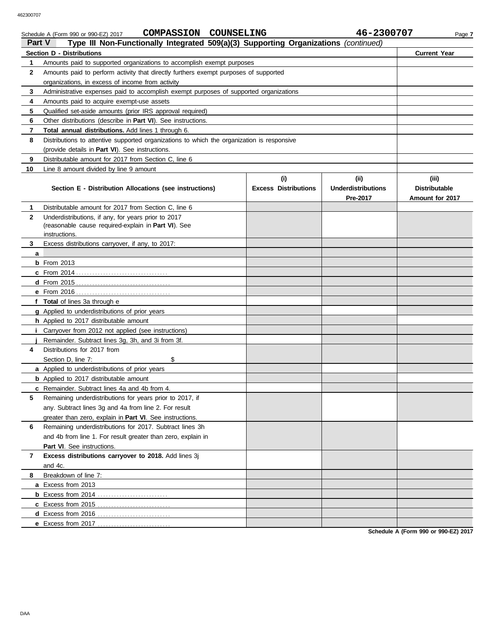|               | COMPASSION COUNSELING<br>Schedule A (Form 990 or 990-EZ) 2017                              |                             | 46-2300707                | Page 7               |
|---------------|--------------------------------------------------------------------------------------------|-----------------------------|---------------------------|----------------------|
| <b>Part V</b> | Type III Non-Functionally Integrated 509(a)(3) Supporting Organizations (continued)        |                             |                           |                      |
|               | <b>Section D - Distributions</b>                                                           |                             |                           | <b>Current Year</b>  |
| 1             | Amounts paid to supported organizations to accomplish exempt purposes                      |                             |                           |                      |
| $\mathbf{2}$  | Amounts paid to perform activity that directly furthers exempt purposes of supported       |                             |                           |                      |
|               | organizations, in excess of income from activity                                           |                             |                           |                      |
| 3             | Administrative expenses paid to accomplish exempt purposes of supported organizations      |                             |                           |                      |
| 4             | Amounts paid to acquire exempt-use assets                                                  |                             |                           |                      |
| 5             | Qualified set-aside amounts (prior IRS approval required)                                  |                             |                           |                      |
| 6             | Other distributions (describe in Part VI). See instructions.                               |                             |                           |                      |
| 7             | Total annual distributions. Add lines 1 through 6.                                         |                             |                           |                      |
| 8             | Distributions to attentive supported organizations to which the organization is responsive |                             |                           |                      |
|               | (provide details in Part VI). See instructions.                                            |                             |                           |                      |
| 9             | Distributable amount for 2017 from Section C, line 6                                       |                             |                           |                      |
| 10            | Line 8 amount divided by line 9 amount                                                     |                             |                           |                      |
|               |                                                                                            | (i)                         | (ii)                      | (iii)                |
|               | Section E - Distribution Allocations (see instructions)                                    | <b>Excess Distributions</b> | <b>Underdistributions</b> | <b>Distributable</b> |
|               |                                                                                            |                             | Pre-2017                  | Amount for 2017      |
| 1.            | Distributable amount for 2017 from Section C. line 6                                       |                             |                           |                      |
| $\mathbf{2}$  | Underdistributions, if any, for years prior to 2017                                        |                             |                           |                      |
|               | (reasonable cause required-explain in Part VI). See                                        |                             |                           |                      |
|               | instructions.                                                                              |                             |                           |                      |
| 3             | Excess distributions carryover, if any, to 2017:                                           |                             |                           |                      |
| a             |                                                                                            |                             |                           |                      |
|               | $b$ From 2013                                                                              |                             |                           |                      |
|               |                                                                                            |                             |                           |                      |
|               |                                                                                            |                             |                           |                      |
|               | f Total of lines 3a through e                                                              |                             |                           |                      |
|               | g Applied to underdistributions of prior years                                             |                             |                           |                      |
|               | <b>h</b> Applied to 2017 distributable amount                                              |                             |                           |                      |
|               | Carryover from 2012 not applied (see instructions)                                         |                             |                           |                      |
|               | Remainder. Subtract lines 3g, 3h, and 3i from 3f.                                          |                             |                           |                      |
| 4             | Distributions for 2017 from                                                                |                             |                           |                      |
|               | \$<br>Section D, line 7:                                                                   |                             |                           |                      |
|               | a Applied to underdistributions of prior years                                             |                             |                           |                      |
|               | <b>b</b> Applied to 2017 distributable amount                                              |                             |                           |                      |
|               | <b>c</b> Remainder. Subtract lines 4a and 4b from 4.                                       |                             |                           |                      |
| 5             | Remaining underdistributions for years prior to 2017, if                                   |                             |                           |                      |
|               | any. Subtract lines 3g and 4a from line 2. For result                                      |                             |                           |                      |
|               | greater than zero, explain in Part VI. See instructions.                                   |                             |                           |                      |
| 6             | Remaining underdistributions for 2017. Subtract lines 3h                                   |                             |                           |                      |
|               | and 4b from line 1. For result greater than zero, explain in                               |                             |                           |                      |
|               | Part VI. See instructions.                                                                 |                             |                           |                      |
| 7             | Excess distributions carryover to 2018. Add lines 3j                                       |                             |                           |                      |
|               | and 4c.                                                                                    |                             |                           |                      |
| 8             | Breakdown of line 7:                                                                       |                             |                           |                      |
|               | a Excess from 2013                                                                         |                             |                           |                      |
|               |                                                                                            |                             |                           |                      |
|               | c Excess from 2015                                                                         |                             |                           |                      |
|               |                                                                                            |                             |                           |                      |
|               |                                                                                            |                             |                           |                      |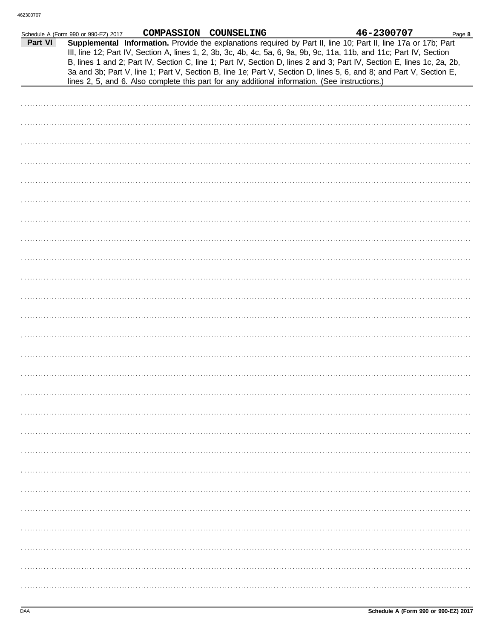|         | Schedule A (Form 990 or 990-EZ) 2017 |                                                                                                                                                                                                                                                                                                                                                                                                                                                                                          | COMPASSION COUNSELING | 46-2300707 | Page 8 |
|---------|--------------------------------------|------------------------------------------------------------------------------------------------------------------------------------------------------------------------------------------------------------------------------------------------------------------------------------------------------------------------------------------------------------------------------------------------------------------------------------------------------------------------------------------|-----------------------|------------|--------|
| Part VI |                                      | Supplemental Information. Provide the explanations required by Part II, line 10; Part II, line 17a or 17b; Part<br>III, line 12; Part IV, Section A, lines 1, 2, 3b, 3c, 4b, 4c, 5a, 6, 9a, 9b, 9c, 11a, 11b, and 11c; Part IV, Section<br>B, lines 1 and 2; Part IV, Section C, line 1; Part IV, Section D, lines 2 and 3; Part IV, Section E, lines 1c, 2a, 2b,<br>3a and 3b; Part V, line 1; Part V, Section B, line 1e; Part V, Section D, lines 5, 6, and 8; and Part V, Section E, |                       |            |        |
|         |                                      | lines 2, 5, and 6. Also complete this part for any additional information. (See instructions.)                                                                                                                                                                                                                                                                                                                                                                                           |                       |            |        |
|         |                                      |                                                                                                                                                                                                                                                                                                                                                                                                                                                                                          |                       |            |        |
|         |                                      |                                                                                                                                                                                                                                                                                                                                                                                                                                                                                          |                       |            |        |
|         |                                      |                                                                                                                                                                                                                                                                                                                                                                                                                                                                                          |                       |            |        |
|         |                                      |                                                                                                                                                                                                                                                                                                                                                                                                                                                                                          |                       |            |        |
|         |                                      |                                                                                                                                                                                                                                                                                                                                                                                                                                                                                          |                       |            |        |
|         |                                      |                                                                                                                                                                                                                                                                                                                                                                                                                                                                                          |                       |            |        |
|         |                                      |                                                                                                                                                                                                                                                                                                                                                                                                                                                                                          |                       |            |        |
|         |                                      |                                                                                                                                                                                                                                                                                                                                                                                                                                                                                          |                       |            |        |
|         |                                      |                                                                                                                                                                                                                                                                                                                                                                                                                                                                                          |                       |            |        |
|         |                                      |                                                                                                                                                                                                                                                                                                                                                                                                                                                                                          |                       |            |        |
|         |                                      |                                                                                                                                                                                                                                                                                                                                                                                                                                                                                          |                       |            |        |
|         |                                      |                                                                                                                                                                                                                                                                                                                                                                                                                                                                                          |                       |            |        |
|         |                                      |                                                                                                                                                                                                                                                                                                                                                                                                                                                                                          |                       |            |        |
|         |                                      |                                                                                                                                                                                                                                                                                                                                                                                                                                                                                          |                       |            |        |
|         |                                      |                                                                                                                                                                                                                                                                                                                                                                                                                                                                                          |                       |            |        |
|         |                                      |                                                                                                                                                                                                                                                                                                                                                                                                                                                                                          |                       |            |        |
|         |                                      |                                                                                                                                                                                                                                                                                                                                                                                                                                                                                          |                       |            |        |
|         |                                      |                                                                                                                                                                                                                                                                                                                                                                                                                                                                                          |                       |            |        |
|         |                                      |                                                                                                                                                                                                                                                                                                                                                                                                                                                                                          |                       |            |        |
|         |                                      |                                                                                                                                                                                                                                                                                                                                                                                                                                                                                          |                       |            |        |
|         |                                      |                                                                                                                                                                                                                                                                                                                                                                                                                                                                                          |                       |            |        |
|         |                                      |                                                                                                                                                                                                                                                                                                                                                                                                                                                                                          |                       |            |        |
|         |                                      |                                                                                                                                                                                                                                                                                                                                                                                                                                                                                          |                       |            |        |
|         |                                      |                                                                                                                                                                                                                                                                                                                                                                                                                                                                                          |                       |            |        |
|         |                                      |                                                                                                                                                                                                                                                                                                                                                                                                                                                                                          |                       |            |        |
|         |                                      |                                                                                                                                                                                                                                                                                                                                                                                                                                                                                          |                       |            |        |
|         |                                      |                                                                                                                                                                                                                                                                                                                                                                                                                                                                                          |                       |            |        |
|         |                                      |                                                                                                                                                                                                                                                                                                                                                                                                                                                                                          |                       |            |        |
|         |                                      |                                                                                                                                                                                                                                                                                                                                                                                                                                                                                          |                       |            |        |
|         |                                      |                                                                                                                                                                                                                                                                                                                                                                                                                                                                                          |                       |            |        |
|         |                                      |                                                                                                                                                                                                                                                                                                                                                                                                                                                                                          |                       |            |        |
|         |                                      |                                                                                                                                                                                                                                                                                                                                                                                                                                                                                          |                       |            |        |
|         |                                      |                                                                                                                                                                                                                                                                                                                                                                                                                                                                                          |                       |            |        |
|         |                                      |                                                                                                                                                                                                                                                                                                                                                                                                                                                                                          |                       |            |        |
|         |                                      |                                                                                                                                                                                                                                                                                                                                                                                                                                                                                          |                       |            |        |
|         |                                      |                                                                                                                                                                                                                                                                                                                                                                                                                                                                                          |                       |            |        |
|         |                                      |                                                                                                                                                                                                                                                                                                                                                                                                                                                                                          |                       |            |        |
|         |                                      |                                                                                                                                                                                                                                                                                                                                                                                                                                                                                          |                       |            |        |
|         |                                      |                                                                                                                                                                                                                                                                                                                                                                                                                                                                                          |                       |            |        |
|         |                                      |                                                                                                                                                                                                                                                                                                                                                                                                                                                                                          |                       |            |        |
|         |                                      |                                                                                                                                                                                                                                                                                                                                                                                                                                                                                          |                       |            |        |
|         |                                      |                                                                                                                                                                                                                                                                                                                                                                                                                                                                                          |                       |            |        |
|         |                                      |                                                                                                                                                                                                                                                                                                                                                                                                                                                                                          |                       |            |        |
|         |                                      |                                                                                                                                                                                                                                                                                                                                                                                                                                                                                          |                       |            |        |
|         |                                      |                                                                                                                                                                                                                                                                                                                                                                                                                                                                                          |                       |            |        |
|         |                                      |                                                                                                                                                                                                                                                                                                                                                                                                                                                                                          |                       |            |        |
|         |                                      |                                                                                                                                                                                                                                                                                                                                                                                                                                                                                          |                       |            |        |
|         |                                      |                                                                                                                                                                                                                                                                                                                                                                                                                                                                                          |                       |            |        |
|         |                                      |                                                                                                                                                                                                                                                                                                                                                                                                                                                                                          |                       |            |        |
|         |                                      |                                                                                                                                                                                                                                                                                                                                                                                                                                                                                          |                       |            |        |
|         |                                      |                                                                                                                                                                                                                                                                                                                                                                                                                                                                                          |                       |            |        |
|         |                                      |                                                                                                                                                                                                                                                                                                                                                                                                                                                                                          |                       |            |        |
|         |                                      |                                                                                                                                                                                                                                                                                                                                                                                                                                                                                          |                       |            |        |
|         |                                      |                                                                                                                                                                                                                                                                                                                                                                                                                                                                                          |                       |            |        |
|         |                                      |                                                                                                                                                                                                                                                                                                                                                                                                                                                                                          |                       |            |        |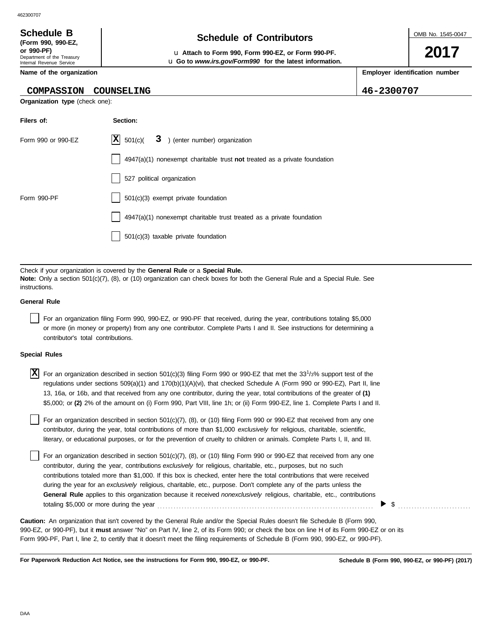### OMB No. 1545-0047 Department of the Treasury Internal Revenue Service **Name of the organization 2017 Schedule of Contributors Schedule B (Form 990, 990-EZ, or 990-PF)** u **Attach to Form 990, Form 990-EZ, or Form 990-PF. Employer identification number** u **Go to** *www.irs.gov/Form990* **for the latest information.**

### **COMPASSION COUNSELING 46-2300707**

**Organization type** (check one):

| Filers of:         | Section:                                                                  |  |  |  |  |  |
|--------------------|---------------------------------------------------------------------------|--|--|--|--|--|
| Form 990 or 990-EZ | $ \mathbf{X} $ 501(c)(<br>3 ) (enter number) organization                 |  |  |  |  |  |
|                    | 4947(a)(1) nonexempt charitable trust not treated as a private foundation |  |  |  |  |  |
|                    | 527 political organization                                                |  |  |  |  |  |
| Form 990-PF        | 501(c)(3) exempt private foundation                                       |  |  |  |  |  |
|                    | 4947(a)(1) nonexempt charitable trust treated as a private foundation     |  |  |  |  |  |
|                    | 501(c)(3) taxable private foundation                                      |  |  |  |  |  |

Check if your organization is covered by the **General Rule** or a **Special Rule. Note:** Only a section 501(c)(7), (8), or (10) organization can check boxes for both the General Rule and a Special Rule. See instructions.

### **General Rule**

For an organization filing Form 990, 990-EZ, or 990-PF that received, during the year, contributions totaling \$5,000 or more (in money or property) from any one contributor. Complete Parts I and II. See instructions for determining a contributor's total contributions.

### **Special Rules**

| $\overline{X}$ For an organization described in section 501(c)(3) filing Form 990 or 990-EZ that met the 331/3% support test of the |
|-------------------------------------------------------------------------------------------------------------------------------------|
| regulations under sections 509(a)(1) and 170(b)(1)(A)(vi), that checked Schedule A (Form 990 or 990-EZ), Part II, line              |
| 13, 16a, or 16b, and that received from any one contributor, during the year, total contributions of the greater of (1)             |
| \$5,000; or (2) 2% of the amount on (i) Form 990, Part VIII, line 1h; or (ii) Form 990-EZ, line 1. Complete Parts I and II.         |
|                                                                                                                                     |

literary, or educational purposes, or for the prevention of cruelty to children or animals. Complete Parts I, II, and III. For an organization described in section 501(c)(7), (8), or (10) filing Form 990 or 990-EZ that received from any one contributor, during the year, total contributions of more than \$1,000 *exclusively* for religious, charitable, scientific,

For an organization described in section 501(c)(7), (8), or (10) filing Form 990 or 990-EZ that received from any one contributor, during the year, contributions *exclusively* for religious, charitable, etc., purposes, but no such contributions totaled more than \$1,000. If this box is checked, enter here the total contributions that were received during the year for an *exclusively* religious, charitable, etc., purpose. Don't complete any of the parts unless the **General Rule** applies to this organization because it received *nonexclusively* religious, charitable, etc., contributions totaling \$5,000 or more during the year . . . . . . . . . . . . . . . . . . . . . . . . . . . . . . . . . . . . . . . . . . . . . . . . . . . . . . . . . . . . . . . . . . . . . . . . . . . . . . . .

990-EZ, or 990-PF), but it **must** answer "No" on Part IV, line 2, of its Form 990; or check the box on line H of its Form 990-EZ or on its Form 990-PF, Part I, line 2, to certify that it doesn't meet the filing requirements of Schedule B (Form 990, 990-EZ, or 990-PF). **Caution:** An organization that isn't covered by the General Rule and/or the Special Rules doesn't file Schedule B (Form 990,

**For Paperwork Reduction Act Notice, see the instructions for Form 990, 990-EZ, or 990-PF.**

\$ . . . . . . . . . . . . . . . . . . . . . . . . . . .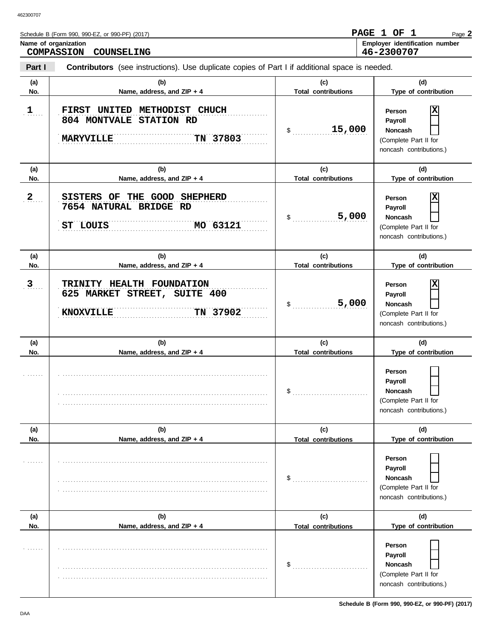Schedule B (Form 990, 990-EZ, or 990-PF) (2017)

|                | Name of organization<br>COMPASSION<br>COUNSELING                                               |                                   | Employer identification number<br>46-2300707                                                  |
|----------------|------------------------------------------------------------------------------------------------|-----------------------------------|-----------------------------------------------------------------------------------------------|
| Part I         | Contributors (see instructions). Use duplicate copies of Part I if additional space is needed. |                                   |                                                                                               |
| (a)<br>No.     | (b)<br>Name, address, and ZIP + 4                                                              | (c)<br><b>Total contributions</b> | (d)<br>Type of contribution                                                                   |
| $1$            | FIRST UNITED METHODIST CHUCH<br>804 MONTVALE STATION RD<br>TN 37803<br><b>MARYVILLE</b>        | 15,000<br>$\$\$                   | X<br>Person<br>Payroll<br>Noncash<br>(Complete Part II for<br>noncash contributions.)         |
| (a)<br>No.     | (b)<br>Name, address, and ZIP + 4                                                              | (c)<br><b>Total contributions</b> | (d)<br>Type of contribution                                                                   |
| 2              | SISTERS OF THE GOOD SHEPHERD<br>7654 NATURAL BRIDGE RD<br>MO 63121<br>ST LOUIS                 | 5,000<br>\$                       | X<br>Person<br>Payroll<br><b>Noncash</b><br>(Complete Part II for<br>noncash contributions.)  |
| (a)<br>No.     | (b)<br>Name, address, and ZIP + 4                                                              | (c)<br><b>Total contributions</b> | (d)<br>Type of contribution                                                                   |
| $\overline{3}$ | TRINITY HEALTH FOUNDATION<br>625 MARKET STREET, SUITE 400<br>TN 37902<br><b>KNOXVILLE</b>      | 5,000<br>\$                       | ΙX<br>Person<br>Payroll<br><b>Noncash</b><br>(Complete Part II for<br>noncash contributions.) |
| (a)<br>No.     | (b)<br>Name, address, and ZIP + 4                                                              | (c)<br><b>Total contributions</b> | (d)<br>Type of contribution                                                                   |
|                |                                                                                                |                                   | Person<br>Payroll<br><b>Noncash</b><br>(Complete Part II for<br>noncash contributions.)       |
| (a)<br>No.     | (b)<br>Name, address, and ZIP + 4                                                              | (c)<br><b>Total contributions</b> | (d)<br>Type of contribution                                                                   |
|                |                                                                                                | \$                                | Person<br>Payroll<br><b>Noncash</b><br>(Complete Part II for<br>noncash contributions.)       |
| (a)<br>No.     | (b)<br>Name, address, and ZIP + 4                                                              | (c)<br><b>Total contributions</b> | (d)<br>Type of contribution                                                                   |
|                |                                                                                                | \$                                | Person<br>Payroll<br><b>Noncash</b><br>(Complete Part II for<br>noncash contributions.)       |

Page **2**

**PAGE 1 OF 1**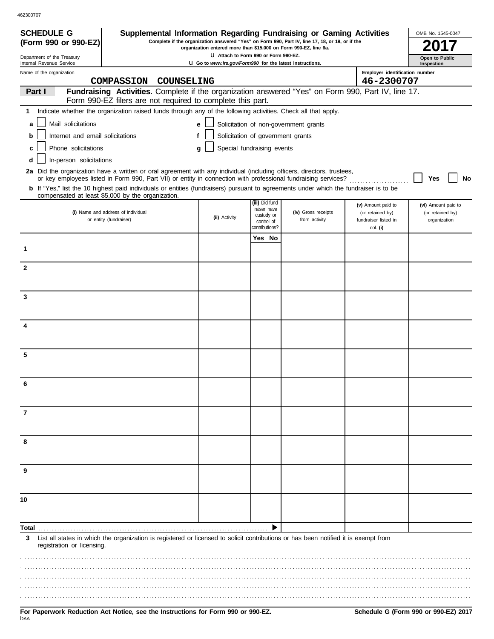| Complete if the organization answered "Yes" on Form 990, Part IV, line 17, 18, or 19, or if the<br>(Form 990 or 990-EZ)<br>organization entered more than \$15,000 on Form 990-EZ, line 6a.<br>LI Attach to Form 990 or Form 990-EZ.<br>Department of the Treasury<br>Open to Public<br>Internal Revenue Service<br><b>U</b> Go to www.irs.gov/Form990 for the latest instructions.<br>Inspection<br>Employer identification number<br>Name of the organization<br>46-2300707<br><b>COMPASSION</b><br>COUNSELING<br>Fundraising Activities. Complete if the organization answered "Yes" on Form 990, Part IV, line 17.<br>Part I<br>Form 990-EZ filers are not required to complete this part.<br>Indicate whether the organization raised funds through any of the following activities. Check all that apply.<br>1<br>Mail solicitations<br>Solicitation of non-government grants<br>a<br>е<br>Solicitation of government grants<br>Internet and email solicitations<br>f<br>Phone solicitations<br>Special fundraising events<br>g<br>c<br>In-person solicitations<br>d<br>2a Did the organization have a written or oral agreement with any individual (including officers, directors, trustees,<br>or key employees listed in Form 990, Part VII) or entity in connection with professional fundraising services?<br>Yes<br>No<br>b If "Yes," list the 10 highest paid individuals or entities (fundraisers) pursuant to agreements under which the fundraiser is to be<br>compensated at least \$5,000 by the organization.<br>(iii) Did fund-<br>(v) Amount paid to<br>(vi) Amount paid to<br>raiser have<br>(iv) Gross receipts<br>(or retained by)<br>(i) Name and address of individual<br>(or retained by)<br>custody or<br>(ii) Activity<br>or entity (fundraiser)<br>from activity<br>fundraiser listed in<br>organization<br>control of<br>contributions?<br>col. (i)<br>Yes <br>No<br>1<br>$\mathbf{2}$<br>3<br>4<br>5<br>6<br>7<br>8<br>9<br>Total<br>List all states in which the organization is registered or licensed to solicit contributions or has been notified it is exempt from<br>3<br>registration or licensing. | <b>SCHEDULE G</b> | Supplemental Information Regarding Fundraising or Gaming Activities |  |  |  |  |  | OMB No. 1545-0047 |  |  |  |
|----------------------------------------------------------------------------------------------------------------------------------------------------------------------------------------------------------------------------------------------------------------------------------------------------------------------------------------------------------------------------------------------------------------------------------------------------------------------------------------------------------------------------------------------------------------------------------------------------------------------------------------------------------------------------------------------------------------------------------------------------------------------------------------------------------------------------------------------------------------------------------------------------------------------------------------------------------------------------------------------------------------------------------------------------------------------------------------------------------------------------------------------------------------------------------------------------------------------------------------------------------------------------------------------------------------------------------------------------------------------------------------------------------------------------------------------------------------------------------------------------------------------------------------------------------------------------------------------------------------------------------------------------------------------------------------------------------------------------------------------------------------------------------------------------------------------------------------------------------------------------------------------------------------------------------------------------------------------------------------------------------------------------------------------------------------------------------------------------------------------------------------------|-------------------|---------------------------------------------------------------------|--|--|--|--|--|-------------------|--|--|--|
|                                                                                                                                                                                                                                                                                                                                                                                                                                                                                                                                                                                                                                                                                                                                                                                                                                                                                                                                                                                                                                                                                                                                                                                                                                                                                                                                                                                                                                                                                                                                                                                                                                                                                                                                                                                                                                                                                                                                                                                                                                                                                                                                              |                   |                                                                     |  |  |  |  |  |                   |  |  |  |
|                                                                                                                                                                                                                                                                                                                                                                                                                                                                                                                                                                                                                                                                                                                                                                                                                                                                                                                                                                                                                                                                                                                                                                                                                                                                                                                                                                                                                                                                                                                                                                                                                                                                                                                                                                                                                                                                                                                                                                                                                                                                                                                                              |                   |                                                                     |  |  |  |  |  |                   |  |  |  |
|                                                                                                                                                                                                                                                                                                                                                                                                                                                                                                                                                                                                                                                                                                                                                                                                                                                                                                                                                                                                                                                                                                                                                                                                                                                                                                                                                                                                                                                                                                                                                                                                                                                                                                                                                                                                                                                                                                                                                                                                                                                                                                                                              |                   |                                                                     |  |  |  |  |  |                   |  |  |  |
|                                                                                                                                                                                                                                                                                                                                                                                                                                                                                                                                                                                                                                                                                                                                                                                                                                                                                                                                                                                                                                                                                                                                                                                                                                                                                                                                                                                                                                                                                                                                                                                                                                                                                                                                                                                                                                                                                                                                                                                                                                                                                                                                              |                   |                                                                     |  |  |  |  |  |                   |  |  |  |
|                                                                                                                                                                                                                                                                                                                                                                                                                                                                                                                                                                                                                                                                                                                                                                                                                                                                                                                                                                                                                                                                                                                                                                                                                                                                                                                                                                                                                                                                                                                                                                                                                                                                                                                                                                                                                                                                                                                                                                                                                                                                                                                                              |                   |                                                                     |  |  |  |  |  |                   |  |  |  |
|                                                                                                                                                                                                                                                                                                                                                                                                                                                                                                                                                                                                                                                                                                                                                                                                                                                                                                                                                                                                                                                                                                                                                                                                                                                                                                                                                                                                                                                                                                                                                                                                                                                                                                                                                                                                                                                                                                                                                                                                                                                                                                                                              |                   |                                                                     |  |  |  |  |  |                   |  |  |  |
|                                                                                                                                                                                                                                                                                                                                                                                                                                                                                                                                                                                                                                                                                                                                                                                                                                                                                                                                                                                                                                                                                                                                                                                                                                                                                                                                                                                                                                                                                                                                                                                                                                                                                                                                                                                                                                                                                                                                                                                                                                                                                                                                              |                   |                                                                     |  |  |  |  |  |                   |  |  |  |
|                                                                                                                                                                                                                                                                                                                                                                                                                                                                                                                                                                                                                                                                                                                                                                                                                                                                                                                                                                                                                                                                                                                                                                                                                                                                                                                                                                                                                                                                                                                                                                                                                                                                                                                                                                                                                                                                                                                                                                                                                                                                                                                                              |                   |                                                                     |  |  |  |  |  |                   |  |  |  |
|                                                                                                                                                                                                                                                                                                                                                                                                                                                                                                                                                                                                                                                                                                                                                                                                                                                                                                                                                                                                                                                                                                                                                                                                                                                                                                                                                                                                                                                                                                                                                                                                                                                                                                                                                                                                                                                                                                                                                                                                                                                                                                                                              |                   |                                                                     |  |  |  |  |  |                   |  |  |  |
|                                                                                                                                                                                                                                                                                                                                                                                                                                                                                                                                                                                                                                                                                                                                                                                                                                                                                                                                                                                                                                                                                                                                                                                                                                                                                                                                                                                                                                                                                                                                                                                                                                                                                                                                                                                                                                                                                                                                                                                                                                                                                                                                              |                   |                                                                     |  |  |  |  |  |                   |  |  |  |
|                                                                                                                                                                                                                                                                                                                                                                                                                                                                                                                                                                                                                                                                                                                                                                                                                                                                                                                                                                                                                                                                                                                                                                                                                                                                                                                                                                                                                                                                                                                                                                                                                                                                                                                                                                                                                                                                                                                                                                                                                                                                                                                                              |                   |                                                                     |  |  |  |  |  |                   |  |  |  |
|                                                                                                                                                                                                                                                                                                                                                                                                                                                                                                                                                                                                                                                                                                                                                                                                                                                                                                                                                                                                                                                                                                                                                                                                                                                                                                                                                                                                                                                                                                                                                                                                                                                                                                                                                                                                                                                                                                                                                                                                                                                                                                                                              |                   |                                                                     |  |  |  |  |  |                   |  |  |  |
|                                                                                                                                                                                                                                                                                                                                                                                                                                                                                                                                                                                                                                                                                                                                                                                                                                                                                                                                                                                                                                                                                                                                                                                                                                                                                                                                                                                                                                                                                                                                                                                                                                                                                                                                                                                                                                                                                                                                                                                                                                                                                                                                              |                   |                                                                     |  |  |  |  |  |                   |  |  |  |
|                                                                                                                                                                                                                                                                                                                                                                                                                                                                                                                                                                                                                                                                                                                                                                                                                                                                                                                                                                                                                                                                                                                                                                                                                                                                                                                                                                                                                                                                                                                                                                                                                                                                                                                                                                                                                                                                                                                                                                                                                                                                                                                                              |                   |                                                                     |  |  |  |  |  |                   |  |  |  |
|                                                                                                                                                                                                                                                                                                                                                                                                                                                                                                                                                                                                                                                                                                                                                                                                                                                                                                                                                                                                                                                                                                                                                                                                                                                                                                                                                                                                                                                                                                                                                                                                                                                                                                                                                                                                                                                                                                                                                                                                                                                                                                                                              |                   |                                                                     |  |  |  |  |  |                   |  |  |  |
|                                                                                                                                                                                                                                                                                                                                                                                                                                                                                                                                                                                                                                                                                                                                                                                                                                                                                                                                                                                                                                                                                                                                                                                                                                                                                                                                                                                                                                                                                                                                                                                                                                                                                                                                                                                                                                                                                                                                                                                                                                                                                                                                              |                   |                                                                     |  |  |  |  |  |                   |  |  |  |
|                                                                                                                                                                                                                                                                                                                                                                                                                                                                                                                                                                                                                                                                                                                                                                                                                                                                                                                                                                                                                                                                                                                                                                                                                                                                                                                                                                                                                                                                                                                                                                                                                                                                                                                                                                                                                                                                                                                                                                                                                                                                                                                                              |                   |                                                                     |  |  |  |  |  |                   |  |  |  |
|                                                                                                                                                                                                                                                                                                                                                                                                                                                                                                                                                                                                                                                                                                                                                                                                                                                                                                                                                                                                                                                                                                                                                                                                                                                                                                                                                                                                                                                                                                                                                                                                                                                                                                                                                                                                                                                                                                                                                                                                                                                                                                                                              |                   |                                                                     |  |  |  |  |  |                   |  |  |  |
|                                                                                                                                                                                                                                                                                                                                                                                                                                                                                                                                                                                                                                                                                                                                                                                                                                                                                                                                                                                                                                                                                                                                                                                                                                                                                                                                                                                                                                                                                                                                                                                                                                                                                                                                                                                                                                                                                                                                                                                                                                                                                                                                              |                   |                                                                     |  |  |  |  |  |                   |  |  |  |
|                                                                                                                                                                                                                                                                                                                                                                                                                                                                                                                                                                                                                                                                                                                                                                                                                                                                                                                                                                                                                                                                                                                                                                                                                                                                                                                                                                                                                                                                                                                                                                                                                                                                                                                                                                                                                                                                                                                                                                                                                                                                                                                                              |                   |                                                                     |  |  |  |  |  |                   |  |  |  |
|                                                                                                                                                                                                                                                                                                                                                                                                                                                                                                                                                                                                                                                                                                                                                                                                                                                                                                                                                                                                                                                                                                                                                                                                                                                                                                                                                                                                                                                                                                                                                                                                                                                                                                                                                                                                                                                                                                                                                                                                                                                                                                                                              |                   |                                                                     |  |  |  |  |  |                   |  |  |  |
|                                                                                                                                                                                                                                                                                                                                                                                                                                                                                                                                                                                                                                                                                                                                                                                                                                                                                                                                                                                                                                                                                                                                                                                                                                                                                                                                                                                                                                                                                                                                                                                                                                                                                                                                                                                                                                                                                                                                                                                                                                                                                                                                              |                   |                                                                     |  |  |  |  |  |                   |  |  |  |
|                                                                                                                                                                                                                                                                                                                                                                                                                                                                                                                                                                                                                                                                                                                                                                                                                                                                                                                                                                                                                                                                                                                                                                                                                                                                                                                                                                                                                                                                                                                                                                                                                                                                                                                                                                                                                                                                                                                                                                                                                                                                                                                                              |                   |                                                                     |  |  |  |  |  |                   |  |  |  |
|                                                                                                                                                                                                                                                                                                                                                                                                                                                                                                                                                                                                                                                                                                                                                                                                                                                                                                                                                                                                                                                                                                                                                                                                                                                                                                                                                                                                                                                                                                                                                                                                                                                                                                                                                                                                                                                                                                                                                                                                                                                                                                                                              |                   |                                                                     |  |  |  |  |  |                   |  |  |  |
|                                                                                                                                                                                                                                                                                                                                                                                                                                                                                                                                                                                                                                                                                                                                                                                                                                                                                                                                                                                                                                                                                                                                                                                                                                                                                                                                                                                                                                                                                                                                                                                                                                                                                                                                                                                                                                                                                                                                                                                                                                                                                                                                              |                   |                                                                     |  |  |  |  |  |                   |  |  |  |
|                                                                                                                                                                                                                                                                                                                                                                                                                                                                                                                                                                                                                                                                                                                                                                                                                                                                                                                                                                                                                                                                                                                                                                                                                                                                                                                                                                                                                                                                                                                                                                                                                                                                                                                                                                                                                                                                                                                                                                                                                                                                                                                                              |                   |                                                                     |  |  |  |  |  |                   |  |  |  |
|                                                                                                                                                                                                                                                                                                                                                                                                                                                                                                                                                                                                                                                                                                                                                                                                                                                                                                                                                                                                                                                                                                                                                                                                                                                                                                                                                                                                                                                                                                                                                                                                                                                                                                                                                                                                                                                                                                                                                                                                                                                                                                                                              |                   |                                                                     |  |  |  |  |  |                   |  |  |  |
|                                                                                                                                                                                                                                                                                                                                                                                                                                                                                                                                                                                                                                                                                                                                                                                                                                                                                                                                                                                                                                                                                                                                                                                                                                                                                                                                                                                                                                                                                                                                                                                                                                                                                                                                                                                                                                                                                                                                                                                                                                                                                                                                              |                   |                                                                     |  |  |  |  |  |                   |  |  |  |
|                                                                                                                                                                                                                                                                                                                                                                                                                                                                                                                                                                                                                                                                                                                                                                                                                                                                                                                                                                                                                                                                                                                                                                                                                                                                                                                                                                                                                                                                                                                                                                                                                                                                                                                                                                                                                                                                                                                                                                                                                                                                                                                                              |                   |                                                                     |  |  |  |  |  |                   |  |  |  |
|                                                                                                                                                                                                                                                                                                                                                                                                                                                                                                                                                                                                                                                                                                                                                                                                                                                                                                                                                                                                                                                                                                                                                                                                                                                                                                                                                                                                                                                                                                                                                                                                                                                                                                                                                                                                                                                                                                                                                                                                                                                                                                                                              |                   |                                                                     |  |  |  |  |  |                   |  |  |  |
|                                                                                                                                                                                                                                                                                                                                                                                                                                                                                                                                                                                                                                                                                                                                                                                                                                                                                                                                                                                                                                                                                                                                                                                                                                                                                                                                                                                                                                                                                                                                                                                                                                                                                                                                                                                                                                                                                                                                                                                                                                                                                                                                              |                   |                                                                     |  |  |  |  |  |                   |  |  |  |
|                                                                                                                                                                                                                                                                                                                                                                                                                                                                                                                                                                                                                                                                                                                                                                                                                                                                                                                                                                                                                                                                                                                                                                                                                                                                                                                                                                                                                                                                                                                                                                                                                                                                                                                                                                                                                                                                                                                                                                                                                                                                                                                                              |                   |                                                                     |  |  |  |  |  |                   |  |  |  |
|                                                                                                                                                                                                                                                                                                                                                                                                                                                                                                                                                                                                                                                                                                                                                                                                                                                                                                                                                                                                                                                                                                                                                                                                                                                                                                                                                                                                                                                                                                                                                                                                                                                                                                                                                                                                                                                                                                                                                                                                                                                                                                                                              |                   |                                                                     |  |  |  |  |  |                   |  |  |  |
|                                                                                                                                                                                                                                                                                                                                                                                                                                                                                                                                                                                                                                                                                                                                                                                                                                                                                                                                                                                                                                                                                                                                                                                                                                                                                                                                                                                                                                                                                                                                                                                                                                                                                                                                                                                                                                                                                                                                                                                                                                                                                                                                              |                   |                                                                     |  |  |  |  |  |                   |  |  |  |
|                                                                                                                                                                                                                                                                                                                                                                                                                                                                                                                                                                                                                                                                                                                                                                                                                                                                                                                                                                                                                                                                                                                                                                                                                                                                                                                                                                                                                                                                                                                                                                                                                                                                                                                                                                                                                                                                                                                                                                                                                                                                                                                                              |                   |                                                                     |  |  |  |  |  |                   |  |  |  |
|                                                                                                                                                                                                                                                                                                                                                                                                                                                                                                                                                                                                                                                                                                                                                                                                                                                                                                                                                                                                                                                                                                                                                                                                                                                                                                                                                                                                                                                                                                                                                                                                                                                                                                                                                                                                                                                                                                                                                                                                                                                                                                                                              |                   |                                                                     |  |  |  |  |  |                   |  |  |  |
|                                                                                                                                                                                                                                                                                                                                                                                                                                                                                                                                                                                                                                                                                                                                                                                                                                                                                                                                                                                                                                                                                                                                                                                                                                                                                                                                                                                                                                                                                                                                                                                                                                                                                                                                                                                                                                                                                                                                                                                                                                                                                                                                              | 10                |                                                                     |  |  |  |  |  |                   |  |  |  |
|                                                                                                                                                                                                                                                                                                                                                                                                                                                                                                                                                                                                                                                                                                                                                                                                                                                                                                                                                                                                                                                                                                                                                                                                                                                                                                                                                                                                                                                                                                                                                                                                                                                                                                                                                                                                                                                                                                                                                                                                                                                                                                                                              |                   |                                                                     |  |  |  |  |  |                   |  |  |  |
|                                                                                                                                                                                                                                                                                                                                                                                                                                                                                                                                                                                                                                                                                                                                                                                                                                                                                                                                                                                                                                                                                                                                                                                                                                                                                                                                                                                                                                                                                                                                                                                                                                                                                                                                                                                                                                                                                                                                                                                                                                                                                                                                              |                   |                                                                     |  |  |  |  |  |                   |  |  |  |
|                                                                                                                                                                                                                                                                                                                                                                                                                                                                                                                                                                                                                                                                                                                                                                                                                                                                                                                                                                                                                                                                                                                                                                                                                                                                                                                                                                                                                                                                                                                                                                                                                                                                                                                                                                                                                                                                                                                                                                                                                                                                                                                                              |                   |                                                                     |  |  |  |  |  |                   |  |  |  |
|                                                                                                                                                                                                                                                                                                                                                                                                                                                                                                                                                                                                                                                                                                                                                                                                                                                                                                                                                                                                                                                                                                                                                                                                                                                                                                                                                                                                                                                                                                                                                                                                                                                                                                                                                                                                                                                                                                                                                                                                                                                                                                                                              |                   |                                                                     |  |  |  |  |  |                   |  |  |  |
|                                                                                                                                                                                                                                                                                                                                                                                                                                                                                                                                                                                                                                                                                                                                                                                                                                                                                                                                                                                                                                                                                                                                                                                                                                                                                                                                                                                                                                                                                                                                                                                                                                                                                                                                                                                                                                                                                                                                                                                                                                                                                                                                              |                   |                                                                     |  |  |  |  |  |                   |  |  |  |
|                                                                                                                                                                                                                                                                                                                                                                                                                                                                                                                                                                                                                                                                                                                                                                                                                                                                                                                                                                                                                                                                                                                                                                                                                                                                                                                                                                                                                                                                                                                                                                                                                                                                                                                                                                                                                                                                                                                                                                                                                                                                                                                                              |                   |                                                                     |  |  |  |  |  |                   |  |  |  |
|                                                                                                                                                                                                                                                                                                                                                                                                                                                                                                                                                                                                                                                                                                                                                                                                                                                                                                                                                                                                                                                                                                                                                                                                                                                                                                                                                                                                                                                                                                                                                                                                                                                                                                                                                                                                                                                                                                                                                                                                                                                                                                                                              |                   |                                                                     |  |  |  |  |  |                   |  |  |  |
|                                                                                                                                                                                                                                                                                                                                                                                                                                                                                                                                                                                                                                                                                                                                                                                                                                                                                                                                                                                                                                                                                                                                                                                                                                                                                                                                                                                                                                                                                                                                                                                                                                                                                                                                                                                                                                                                                                                                                                                                                                                                                                                                              |                   |                                                                     |  |  |  |  |  |                   |  |  |  |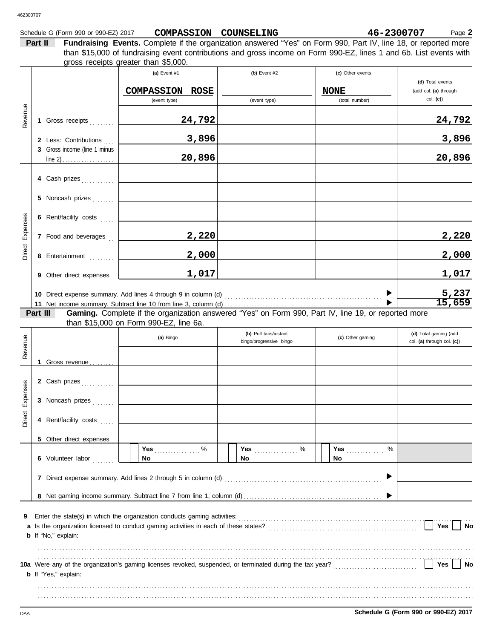## Schedule G (Form 990 or 990-EZ) 2017 Page **2 COMPASSION COUNSELING 46-2300707**

**Part II Fundraising Events.** Complete if the organization answered "Yes" on Form 990, Part IV, line 18, or reported more gross receipts greater than \$5,000. than \$15,000 of fundraising event contributions and gross income on Form 990-EZ, lines 1 and 6b. List events with

| Revenue         |          | 1 Gross receipts<br>2 Less: Contributions<br>3 Gross income (line 1 minus                   | (a) Event $#1$<br><b>COMPASSION ROSE</b><br>(event type)<br>24,792<br>3,896                                                                   | $(b)$ Event #2<br>(event type)                   | (c) Other events<br><b>NONE</b><br>(total number) | (d) Total events<br>(add col. (a) through<br>col. (c)<br>24,792<br>3,896 |
|-----------------|----------|---------------------------------------------------------------------------------------------|-----------------------------------------------------------------------------------------------------------------------------------------------|--------------------------------------------------|---------------------------------------------------|--------------------------------------------------------------------------|
|                 |          | 4 Cash prizes<br>5 Noncash prizes                                                           | 20,896                                                                                                                                        |                                                  |                                                   | 20,896                                                                   |
| Direct Expenses |          | 6 Rent/facility costs<br>7 Food and beverages<br>8 Entertainment<br>9 Other direct expenses | 2,220<br>2,000<br>1,017                                                                                                                       |                                                  |                                                   | 2,220<br>2,000<br>1,017                                                  |
|                 | Part III |                                                                                             | Gaming. Complete if the organization answered "Yes" on Form 990, Part IV, line 19, or reported more<br>than \$15,000 on Form 990-EZ, line 6a. |                                                  |                                                   | 5,237<br>15,659                                                          |
| Revenue         |          | 1 Gross revenue                                                                             | (a) Bingo                                                                                                                                     | (b) Pull tabs/instant<br>bingo/progressive bingo | (c) Other gaming                                  | (d) Total gaming (add<br>col. (a) through col. (c))                      |
| Direct Expenses |          | 2 Cash prizes<br>3 Noncash prizes<br>4 Rent/facility costs                                  |                                                                                                                                               |                                                  |                                                   |                                                                          |
|                 |          | 5 Other direct expenses<br>6 Volunteer labor                                                | Yes $%$<br><b>No</b><br>7 Direct expense summary. Add lines 2 through 5 in column (d)                                                         | Yes $\ldots \ldots \ldots$ %<br>No               | <b>Yes</b> ______________<br>%<br>No              |                                                                          |
| 9               |          | <b>b</b> If "No," explain:                                                                  | a Is the organization licensed to conduct gaming activities in each of these states?                                                          |                                                  |                                                   | Yes<br>No                                                                |
|                 |          | <b>b</b> If "Yes," explain:                                                                 |                                                                                                                                               |                                                  |                                                   | Yes<br>No                                                                |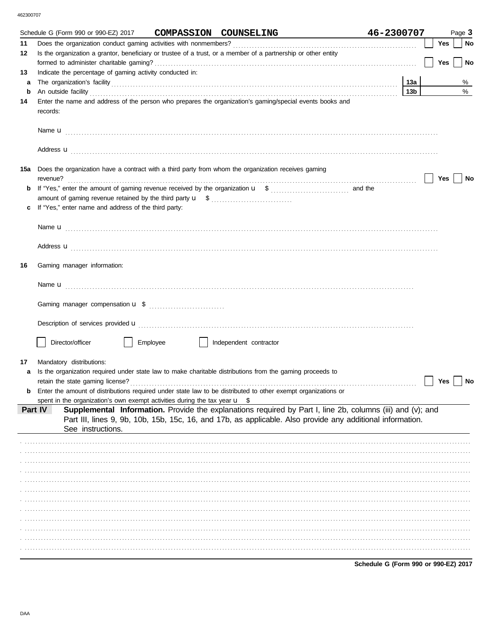|     | Schedule G (Form 990 or 990-EZ) 2017                                                                                                                                                                                                 | COMPASSION COUNSELING  | 46-2300707                                                                                                                                                                                                               |                 |            | Page 3 |
|-----|--------------------------------------------------------------------------------------------------------------------------------------------------------------------------------------------------------------------------------------|------------------------|--------------------------------------------------------------------------------------------------------------------------------------------------------------------------------------------------------------------------|-----------------|------------|--------|
| 11  |                                                                                                                                                                                                                                      |                        |                                                                                                                                                                                                                          |                 | Yes        | No     |
| 12  | Is the organization a grantor, beneficiary or trustee of a trust, or a member of a partnership or other entity                                                                                                                       |                        |                                                                                                                                                                                                                          |                 | <b>Yes</b> | No     |
| 13  | Indicate the percentage of gaming activity conducted in:                                                                                                                                                                             |                        |                                                                                                                                                                                                                          |                 |            |        |
| a   |                                                                                                                                                                                                                                      |                        |                                                                                                                                                                                                                          | 13а             |            | %      |
| b   | An outside facility <b>contract and the contract of a contract of a contract of a contract of a contract of a contract of a contract of a contract of a contract of a contract of a contract of a contract of a contract of a co</b> |                        |                                                                                                                                                                                                                          | 13 <sub>b</sub> |            | %      |
| 14  | Enter the name and address of the person who prepares the organization's gaming/special events books and<br>records:                                                                                                                 |                        |                                                                                                                                                                                                                          |                 |            |        |
|     |                                                                                                                                                                                                                                      |                        |                                                                                                                                                                                                                          |                 |            |        |
|     |                                                                                                                                                                                                                                      |                        | Address <b>u</b>                                                                                                                                                                                                         |                 |            |        |
| 15a | Does the organization have a contract with a third party from whom the organization receives gaming<br>revenue?                                                                                                                      |                        |                                                                                                                                                                                                                          |                 | Yes        | No     |
| b   |                                                                                                                                                                                                                                      |                        |                                                                                                                                                                                                                          |                 |            |        |
|     |                                                                                                                                                                                                                                      |                        |                                                                                                                                                                                                                          |                 |            |        |
|     | If "Yes," enter name and address of the third party:                                                                                                                                                                                 |                        |                                                                                                                                                                                                                          |                 |            |        |
|     |                                                                                                                                                                                                                                      |                        |                                                                                                                                                                                                                          |                 |            |        |
|     |                                                                                                                                                                                                                                      |                        | Address <b>u</b>                                                                                                                                                                                                         |                 |            |        |
| 16  | Gaming manager information:                                                                                                                                                                                                          |                        |                                                                                                                                                                                                                          |                 |            |        |
|     |                                                                                                                                                                                                                                      |                        |                                                                                                                                                                                                                          |                 |            |        |
|     |                                                                                                                                                                                                                                      |                        |                                                                                                                                                                                                                          |                 |            |        |
|     |                                                                                                                                                                                                                                      |                        |                                                                                                                                                                                                                          |                 |            |        |
|     | Director/officer<br>Employee                                                                                                                                                                                                         | Independent contractor |                                                                                                                                                                                                                          |                 |            |        |
| 17  | Mandatory distributions:                                                                                                                                                                                                             |                        |                                                                                                                                                                                                                          |                 |            |        |
| a   | Is the organization required under state law to make charitable distributions from the gaming proceeds to                                                                                                                            |                        |                                                                                                                                                                                                                          |                 |            |        |
|     |                                                                                                                                                                                                                                      |                        |                                                                                                                                                                                                                          |                 | Yes        | No     |
| b   | Enter the amount of distributions required under state law to be distributed to other exempt organizations or                                                                                                                        |                        |                                                                                                                                                                                                                          |                 |            |        |
|     | spent in the organization's own exempt activities during the tax year $\mathbf{u}$ \$                                                                                                                                                |                        |                                                                                                                                                                                                                          |                 |            |        |
|     | Part IV<br>See instructions.                                                                                                                                                                                                         |                        | Supplemental Information. Provide the explanations required by Part I, line 2b, columns (iii) and (v); and<br>Part III, lines 9, 9b, 10b, 15b, 15c, 16, and 17b, as applicable. Also provide any additional information. |                 |            |        |
|     |                                                                                                                                                                                                                                      |                        |                                                                                                                                                                                                                          |                 |            |        |
|     |                                                                                                                                                                                                                                      |                        |                                                                                                                                                                                                                          |                 |            |        |
|     |                                                                                                                                                                                                                                      |                        |                                                                                                                                                                                                                          |                 |            |        |
|     |                                                                                                                                                                                                                                      |                        |                                                                                                                                                                                                                          |                 |            |        |
|     |                                                                                                                                                                                                                                      |                        |                                                                                                                                                                                                                          |                 |            |        |
|     |                                                                                                                                                                                                                                      |                        |                                                                                                                                                                                                                          |                 |            |        |
|     |                                                                                                                                                                                                                                      |                        |                                                                                                                                                                                                                          |                 |            |        |
|     |                                                                                                                                                                                                                                      |                        |                                                                                                                                                                                                                          |                 |            |        |
|     |                                                                                                                                                                                                                                      |                        |                                                                                                                                                                                                                          |                 |            |        |
|     |                                                                                                                                                                                                                                      |                        |                                                                                                                                                                                                                          |                 |            |        |
|     |                                                                                                                                                                                                                                      |                        |                                                                                                                                                                                                                          |                 |            |        |
|     |                                                                                                                                                                                                                                      |                        | Schodule C (Form 000 or 000 EZ) 2017                                                                                                                                                                                     |                 |            |        |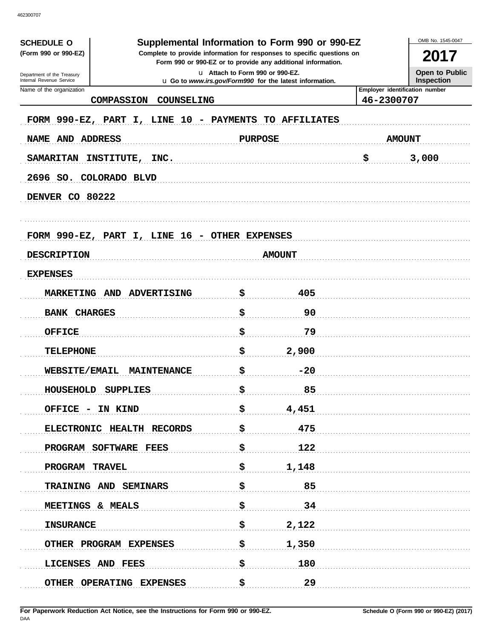| Supplemental Information to Form 990 or 990-EZ<br><b>SCHEDULE O</b><br>(Form 990 or 990-EZ)<br>Complete to provide information for responses to specific questions on<br>Form 990 or 990-EZ or to provide any additional information.<br>u Attach to Form 990 or 990-EZ. |                                                         |                |                                     |            | OMB No. 1545-0047<br>2017      |
|--------------------------------------------------------------------------------------------------------------------------------------------------------------------------------------------------------------------------------------------------------------------------|---------------------------------------------------------|----------------|-------------------------------------|------------|--------------------------------|
| Department of the Treasury<br>Internal Revenue Service                                                                                                                                                                                                                   | u Go to www.irs.gov/Form990 for the latest information. |                | Open to Public<br><b>Inspection</b> |            |                                |
| Name of the organization                                                                                                                                                                                                                                                 | <b>COMPASSION</b><br>COUNSELING                         |                |                                     | 46-2300707 | Employer identification number |
|                                                                                                                                                                                                                                                                          | FORM 990-EZ, PART I, LINE 10 - PAYMENTS TO AFFILIATES   |                |                                     |            |                                |
| NAME AND ADDRESS                                                                                                                                                                                                                                                         |                                                         | <b>PURPOSE</b> |                                     |            | <b>AMOUNT</b>                  |
|                                                                                                                                                                                                                                                                          |                                                         |                |                                     |            |                                |
| <b>SAMARITAN</b>                                                                                                                                                                                                                                                         | INSTITUTE, INC.                                         |                |                                     | \$         | 3,000                          |
|                                                                                                                                                                                                                                                                          | 2696 SO. COLORADO BLVD                                  |                |                                     |            |                                |
| DENVER CO 80222                                                                                                                                                                                                                                                          |                                                         |                |                                     |            |                                |
|                                                                                                                                                                                                                                                                          |                                                         |                |                                     |            |                                |
|                                                                                                                                                                                                                                                                          | FORM 990-EZ, PART I, LINE 16 - OTHER EXPENSES           |                |                                     |            |                                |
| <b>DESCRIPTION</b>                                                                                                                                                                                                                                                       |                                                         |                | <b>AMOUNT</b>                       |            |                                |
| <b>EXPENSES</b>                                                                                                                                                                                                                                                          |                                                         |                |                                     |            |                                |
|                                                                                                                                                                                                                                                                          | MARKETING AND ADVERTISING                               | \$             | 405                                 |            |                                |
| <b>BANK CHARGES</b>                                                                                                                                                                                                                                                      |                                                         | \$.            | 90                                  |            |                                |
| <b>OFFICE</b>                                                                                                                                                                                                                                                            |                                                         | \$             | 79                                  |            |                                |
| <b>TELEPHONE</b>                                                                                                                                                                                                                                                         |                                                         | \$             | 2,900                               |            |                                |
| WEBSITE/EMAIL                                                                                                                                                                                                                                                            | MAINTENANCE                                             | \$             | $-20$                               |            |                                |
| HOUSEHOLD                                                                                                                                                                                                                                                                | <b>SUPPLIES</b>                                         | \$             | 85                                  |            |                                |
|                                                                                                                                                                                                                                                                          | OFFICE - IN KIND                                        | \$             | 4,451                               |            |                                |
|                                                                                                                                                                                                                                                                          | ELECTRONIC HEALTH RECORDS                               | \$             | 475                                 |            |                                |
|                                                                                                                                                                                                                                                                          | PROGRAM SOFTWARE FEES                                   | \$             | 122                                 |            |                                |
| PROGRAM TRAVEL                                                                                                                                                                                                                                                           |                                                         | \$             | 1,148                               |            |                                |
|                                                                                                                                                                                                                                                                          | TRAINING AND SEMINARS                                   | \$             | 85                                  |            |                                |
|                                                                                                                                                                                                                                                                          | MEETINGS & MEALS                                        | \$             | 34                                  |            |                                |
|                                                                                                                                                                                                                                                                          |                                                         | \$             | 2,122                               |            |                                |
| <b>INSURANCE</b>                                                                                                                                                                                                                                                         |                                                         |                |                                     |            |                                |
|                                                                                                                                                                                                                                                                          | OTHER PROGRAM EXPENSES                                  | \$             | 1,350                               |            |                                |
|                                                                                                                                                                                                                                                                          | LICENSES AND FEES                                       | \$             | 180                                 |            |                                |
|                                                                                                                                                                                                                                                                          | OTHER OPERATING EXPENSES                                | \$             | 29                                  |            |                                |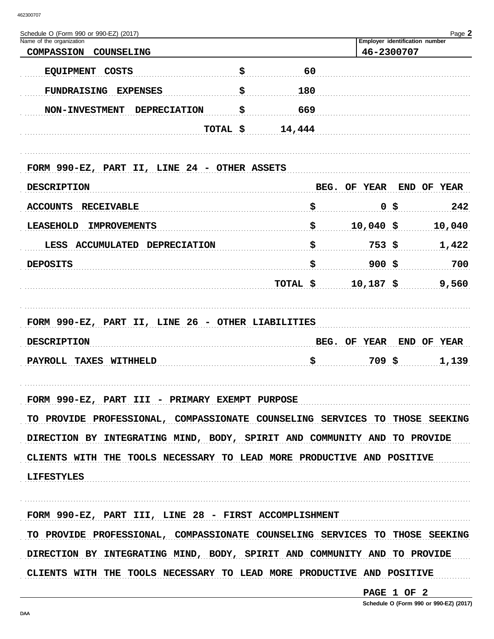| Schedule O (Form 990 or 990-EZ) (2017)                                      |           |              | Page 2                         |
|-----------------------------------------------------------------------------|-----------|--------------|--------------------------------|
| Name of the organization<br><b>COMPASSION</b><br>COUNSELING                 |           | 46-2300707   | Employer identification number |
| <b>EQUIPMENT</b><br><b>COSTS</b>                                            | \$<br>60  |              |                                |
| <b>FUNDRAISING</b><br><b>EXPENSES</b>                                       | \$<br>180 |              |                                |
| <b>NON-INVESTMENT</b><br><b>DEPRECIATION</b>                                | \$<br>669 |              |                                |
|                                                                             | 14,444    |              |                                |
| TOTAL \$                                                                    |           |              |                                |
|                                                                             |           |              |                                |
| FORM 990-EZ, PART II, LINE 24 - OTHER ASSETS                                |           |              |                                |
| <b>DESCRIPTION</b>                                                          |           | BEG. OF YEAR | END OF YEAR                    |
| <b>ACCOUNTS</b><br><b>RECEIVABLE</b>                                        | \$        | 0 \$         | 242                            |
| <b>LEASEHOLD</b><br><b>IMPROVEMENTS</b>                                     | \$        | $10,040$ \$  | 10,040                         |
| LESS ACCUMULATED<br><b>DEPRECIATION</b>                                     | \$        | $753$ \$     | 1,422                          |
| <b>DEPOSITS</b>                                                             | \$        | $900$ \$     | 700                            |
|                                                                             | TOTAL \$  | $10,187$ \$  | 9,560                          |
| <b>DESCRIPTION</b>                                                          |           | BEG. OF YEAR | END OF YEAR                    |
| PAYROLL TAXES<br><b>WITHHELD</b>                                            | \$        | 709\$        | 1,139                          |
| FORM 990-EZ, PART III - PRIMARY EXEMPT PURPOSE                              |           |              |                                |
| TO PROVIDE PROFESSIONAL, COMPASSIONATE COUNSELING SERVICES TO THOSE SEEKING |           |              |                                |
| DIRECTION BY INTEGRATING MIND, BODY, SPIRIT AND COMMUNITY AND TO PROVIDE    |           |              |                                |
| CLIENTS WITH THE TOOLS NECESSARY TO LEAD MORE PRODUCTIVE AND POSITIVE       |           |              |                                |
|                                                                             |           |              |                                |
| <b>LIFESTYLES</b>                                                           |           |              |                                |
| FORM 990-EZ, PART III, LINE 28 - FIRST ACCOMPLISHMENT                       |           |              |                                |
| TO PROVIDE PROFESSIONAL, COMPASSIONATE COUNSELING SERVICES TO THOSE SEEKING |           |              |                                |
| DIRECTION BY INTEGRATING MIND, BODY, SPIRIT AND COMMUNITY AND TO PROVIDE    |           |              |                                |
| CLIENTS WITH THE TOOLS NECESSARY TO LEAD MORE PRODUCTIVE AND POSITIVE       |           |              |                                |
|                                                                             |           |              |                                |

<u>PAGE 1 OF 2</u>

Schedule O (Form 990 or 990-EZ) (2017)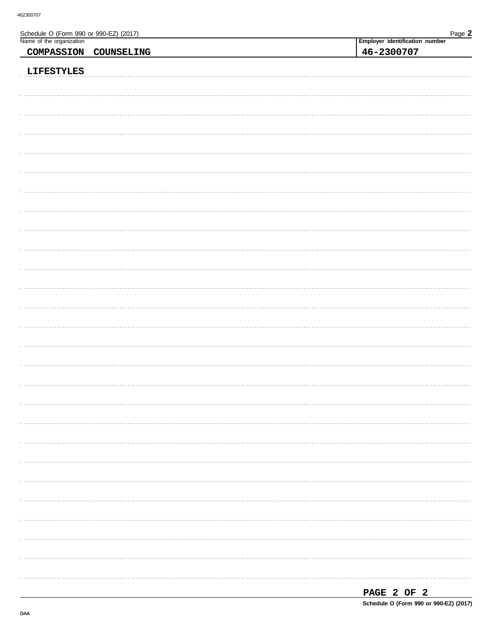| Schedule O (Form 990 or 990-EZ) (2017)<br>Name of the organization | Page 2                         |
|--------------------------------------------------------------------|--------------------------------|
|                                                                    | Employer identification number |
| COMPASSION COUNSELING                                              | 46-2300707                     |
|                                                                    |                                |
| <b>LIFESTYLES</b>                                                  |                                |
|                                                                    |                                |
|                                                                    |                                |
|                                                                    |                                |
|                                                                    |                                |
|                                                                    |                                |
|                                                                    |                                |
|                                                                    |                                |
|                                                                    |                                |
|                                                                    |                                |
|                                                                    |                                |
|                                                                    |                                |
|                                                                    |                                |
|                                                                    |                                |
|                                                                    |                                |
|                                                                    |                                |
|                                                                    |                                |
|                                                                    |                                |
|                                                                    |                                |
|                                                                    |                                |
|                                                                    |                                |
|                                                                    |                                |
|                                                                    |                                |
|                                                                    |                                |
|                                                                    |                                |
|                                                                    |                                |
|                                                                    |                                |
|                                                                    |                                |
|                                                                    |                                |
|                                                                    |                                |
|                                                                    |                                |
|                                                                    |                                |
|                                                                    |                                |
|                                                                    |                                |
|                                                                    |                                |
|                                                                    |                                |
|                                                                    |                                |
|                                                                    |                                |
|                                                                    |                                |
|                                                                    |                                |
|                                                                    |                                |
|                                                                    |                                |
|                                                                    |                                |
|                                                                    |                                |
|                                                                    |                                |
|                                                                    |                                |
|                                                                    |                                |
|                                                                    |                                |
|                                                                    | DAC                            |

| PAGE 2 OF 2                            |  |  |  |
|----------------------------------------|--|--|--|
| Schedule O (Form 990 or 990-EZ) (2017) |  |  |  |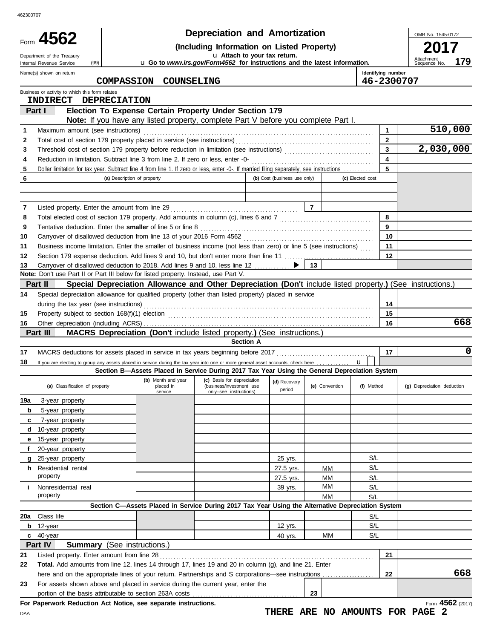| <b>Depreciation and Amortization</b><br>Form 4562<br>(Including Information on Listed Property)<br>u Attach to your tax return.<br>Department of the Treasury |                                                                                                                                                                    |                                    |                                            |                                                                                                            | OMB No. 1545-0172            |                             |                  |                                  |                                  |
|---------------------------------------------------------------------------------------------------------------------------------------------------------------|--------------------------------------------------------------------------------------------------------------------------------------------------------------------|------------------------------------|--------------------------------------------|------------------------------------------------------------------------------------------------------------|------------------------------|-----------------------------|------------------|----------------------------------|----------------------------------|
|                                                                                                                                                               | (99)<br>Internal Revenue Service                                                                                                                                   |                                    |                                            | <b>u</b> Go to www.irs.gov/Form4562 for instructions and the latest information.                           |                              |                             |                  |                                  | Attachmen<br>179<br>Sequence No. |
|                                                                                                                                                               | Name(s) shown on return                                                                                                                                            | <b>COMPASSION</b>                  | COUNSELING                                 |                                                                                                            |                              |                             |                  | Identifying number<br>46-2300707 |                                  |
|                                                                                                                                                               | Business or activity to which this form relates<br><b>INDIRECT</b>                                                                                                 | <b>DEPRECIATION</b>                |                                            |                                                                                                            |                              |                             |                  |                                  |                                  |
|                                                                                                                                                               | Part I                                                                                                                                                             |                                    |                                            | Election To Expense Certain Property Under Section 179                                                     |                              |                             |                  |                                  |                                  |
|                                                                                                                                                               |                                                                                                                                                                    |                                    |                                            | Note: If you have any listed property, complete Part V before you complete Part I.                         |                              |                             |                  |                                  |                                  |
| 1<br>2                                                                                                                                                        | Maximum amount (see instructions)                                                                                                                                  |                                    |                                            |                                                                                                            |                              |                             |                  | 1<br>$\mathbf{2}$                | 510,000                          |
| 3                                                                                                                                                             |                                                                                                                                                                    |                                    |                                            |                                                                                                            |                              |                             |                  | 3                                | 2,030,000                        |
| 4                                                                                                                                                             | Reduction in limitation. Subtract line 3 from line 2. If zero or less, enter -0-                                                                                   |                                    |                                            |                                                                                                            |                              |                             |                  | 4                                |                                  |
| 5                                                                                                                                                             | Dollar limitation for tax year. Subtract line 4 from line 1. If zero or less, enter -0-. If married filing separately, see instructions                            |                                    |                                            |                                                                                                            |                              |                             |                  | 5                                |                                  |
| 6                                                                                                                                                             |                                                                                                                                                                    | (a) Description of property        |                                            |                                                                                                            | (b) Cost (business use only) |                             | (c) Elected cost |                                  |                                  |
|                                                                                                                                                               |                                                                                                                                                                    |                                    |                                            |                                                                                                            |                              |                             |                  |                                  |                                  |
| 7                                                                                                                                                             | Listed property. Enter the amount from line 29                                                                                                                     |                                    |                                            |                                                                                                            |                              | $\overline{7}$              |                  |                                  |                                  |
| 8                                                                                                                                                             | Total elected cost of section 179 property. Add amounts in column (c), lines 6 and 7 [[[[[[[[[[[[[[[[[[[[[[[[[                                                     |                                    |                                            |                                                                                                            |                              |                             |                  | 8                                |                                  |
| 9                                                                                                                                                             | Tentative deduction. Enter the smaller of line 5 or line 8                                                                                                         |                                    |                                            |                                                                                                            |                              |                             |                  | 9                                |                                  |
| 10                                                                                                                                                            |                                                                                                                                                                    |                                    |                                            |                                                                                                            |                              |                             |                  | 10                               |                                  |
| 11                                                                                                                                                            | Business income limitation. Enter the smaller of business income (not less than zero) or line 5 (see instructions)                                                 |                                    |                                            |                                                                                                            |                              |                             |                  | 11                               |                                  |
| 12                                                                                                                                                            | Section 179 expense deduction. Add lines 9 and 10, but don't enter more than line 11 [                                                                             |                                    |                                            |                                                                                                            |                              |                             |                  | 12                               |                                  |
| 13                                                                                                                                                            | Carryover of disallowed deduction to 2018. Add lines 9 and 10, less line 12<br>Note: Don't use Part II or Part III below for listed property. Instead, use Part V. |                                    |                                            |                                                                                                            |                              | 13                          |                  |                                  |                                  |
|                                                                                                                                                               | Part II                                                                                                                                                            |                                    |                                            | Special Depreciation Allowance and Other Depreciation (Don't include listed property.) (See instructions.) |                              |                             |                  |                                  |                                  |
| 14                                                                                                                                                            | Special depreciation allowance for qualified property (other than listed property) placed in service                                                               |                                    |                                            |                                                                                                            |                              |                             |                  |                                  |                                  |
|                                                                                                                                                               | during the tax year (see instructions)                                                                                                                             |                                    |                                            |                                                                                                            |                              |                             |                  | 14                               |                                  |
| 15                                                                                                                                                            |                                                                                                                                                                    |                                    |                                            |                                                                                                            |                              |                             |                  | 15                               |                                  |
| 16                                                                                                                                                            |                                                                                                                                                                    |                                    |                                            |                                                                                                            |                              |                             |                  | 16                               | 668                              |
|                                                                                                                                                               | Part III                                                                                                                                                           |                                    |                                            | MACRS Depreciation (Don't include listed property.) (See instructions.)                                    |                              |                             |                  |                                  |                                  |
|                                                                                                                                                               |                                                                                                                                                                    |                                    |                                            | <b>Section A</b>                                                                                           |                              |                             |                  | 17                               | $\mathbf 0$                      |
| 17<br>18                                                                                                                                                      | If you are electing to group any assets placed in service during the tax year into one or more general asset accounts, check here                                  |                                    |                                            |                                                                                                            |                              |                             | $\mathbf{u}$     |                                  |                                  |
|                                                                                                                                                               |                                                                                                                                                                    |                                    |                                            | Section B-Assets Placed in Service During 2017 Tax Year Using the General Depreciation System              |                              |                             |                  |                                  |                                  |
|                                                                                                                                                               | (a) Classification of property                                                                                                                                     |                                    | (b) Month and year<br>placed in<br>service | (c) Basis for depreciation<br>(business/investment use<br>only-see instructions)                           | (d) Recovery<br>period       | (e) Convention   (f) Method |                  |                                  | (g) Depreciation deduction       |
| 19a                                                                                                                                                           | 3-year property                                                                                                                                                    |                                    |                                            |                                                                                                            |                              |                             |                  |                                  |                                  |
| b                                                                                                                                                             | 5-year property                                                                                                                                                    |                                    |                                            |                                                                                                            |                              |                             |                  |                                  |                                  |
| c                                                                                                                                                             | 7-year property                                                                                                                                                    |                                    |                                            |                                                                                                            |                              |                             |                  |                                  |                                  |
| d                                                                                                                                                             | 10-year property<br>15-year property                                                                                                                               |                                    |                                            |                                                                                                            |                              |                             |                  |                                  |                                  |
| е<br>f                                                                                                                                                        | 20-year property                                                                                                                                                   |                                    |                                            |                                                                                                            |                              |                             |                  |                                  |                                  |
| g                                                                                                                                                             | 25-year property                                                                                                                                                   |                                    |                                            |                                                                                                            | 25 yrs.                      |                             | S/L              |                                  |                                  |
|                                                                                                                                                               | <b>h</b> Residential rental                                                                                                                                        |                                    |                                            |                                                                                                            | 27.5 yrs.                    | <b>MM</b>                   | S/L              |                                  |                                  |
|                                                                                                                                                               | property                                                                                                                                                           |                                    |                                            |                                                                                                            | 27.5 yrs.                    | МM                          | S/L              |                                  |                                  |
| i.                                                                                                                                                            | Nonresidential real                                                                                                                                                |                                    |                                            |                                                                                                            | 39 yrs.                      | МM                          | S/L              |                                  |                                  |
|                                                                                                                                                               | property                                                                                                                                                           |                                    |                                            |                                                                                                            |                              | MM                          | S/L              |                                  |                                  |
|                                                                                                                                                               |                                                                                                                                                                    |                                    |                                            | Section C-Assets Placed in Service During 2017 Tax Year Using the Alternative Depreciation System          |                              |                             |                  |                                  |                                  |
| 20a                                                                                                                                                           | Class life                                                                                                                                                         |                                    |                                            |                                                                                                            |                              |                             | S/L              |                                  |                                  |
|                                                                                                                                                               | $b$ 12-year<br>$c$ 40-year                                                                                                                                         |                                    |                                            |                                                                                                            | 12 yrs.<br>40 yrs.           | MМ                          | S/L<br>S/L       |                                  |                                  |
|                                                                                                                                                               | Part IV                                                                                                                                                            | <b>Summary</b> (See instructions.) |                                            |                                                                                                            |                              |                             |                  |                                  |                                  |
| 21                                                                                                                                                            | Listed property. Enter amount from line 28                                                                                                                         |                                    |                                            |                                                                                                            |                              |                             |                  | 21                               |                                  |
| 22                                                                                                                                                            | Total. Add amounts from line 12, lines 14 through 17, lines 19 and 20 in column (g), and line 21. Enter                                                            |                                    |                                            |                                                                                                            |                              |                             |                  |                                  |                                  |
|                                                                                                                                                               | here and on the appropriate lines of your return. Partnerships and S corporations—see instructions                                                                 |                                    |                                            |                                                                                                            |                              |                             |                  | 22                               | 668                              |
| 23                                                                                                                                                            | For assets shown above and placed in service during the current year, enter the                                                                                    |                                    |                                            |                                                                                                            |                              |                             |                  |                                  |                                  |
|                                                                                                                                                               | portion of the basis attributable to section 263A costs                                                                                                            |                                    |                                            |                                                                                                            |                              | 23                          |                  |                                  |                                  |
|                                                                                                                                                               | For Paperwork Reduction Act Notice, see separate instructions.                                                                                                     |                                    |                                            |                                                                                                            |                              |                             |                  |                                  | Form 4562 (2017)                 |

**THERE ARE NO AMOUNTS FOR PAGE 2**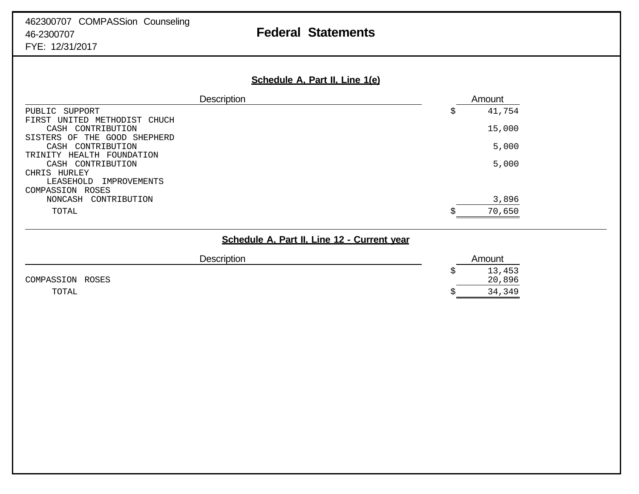# **Schedule A, Part II, Line 1(e)**

| <b>Description</b>           | Amount |
|------------------------------|--------|
| PUBLIC SUPPORT               | 41,754 |
| FIRST UNITED METHODIST CHUCH |        |
| CASH CONTRIBUTION            | 15,000 |
| SISTERS OF THE GOOD SHEPHERD |        |
| CASH CONTRIBUTION            | 5,000  |
| TRINITY HEALTH FOUNDATION    |        |
| CASH CONTRIBUTION            | 5,000  |
| CHRIS HURLEY                 |        |
| LEASEHOLD IMPROVEMENTS       |        |
| COMPASSION ROSES             |        |
| CONTRIBUTION<br>NONCASH      | 3,896  |
| TOTAL                        | 70,650 |

## **Schedule A, Part II, Line 12 - Current year**

|                  | <b>Description</b> | Amount           |
|------------------|--------------------|------------------|
| COMPASSION ROSES |                    | 13,453<br>20,896 |
| TOTAL            |                    | 34,349           |